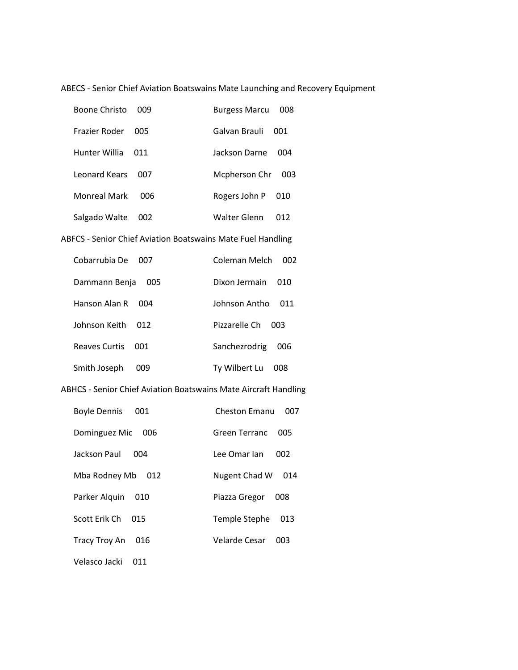ABECS - Senior Chief Aviation Boatswains Mate Launching and Recovery Equipment

| Boone Christo        | nng | <b>Burgess Marcu</b> | 008  |
|----------------------|-----|----------------------|------|
| <b>Frazier Roder</b> | 005 | Galvan Brauli        | 001. |
| Hunter Willia        | O11 | Jackson Darne        | 004  |
| Leonard Kears        | 007 | Mcpherson Chr        | 003  |
| <b>Monreal Mark</b>  | 006 | Rogers John P        | 010  |
| Salgado Walte        | 002 | Walter Glenn         | 012  |

# ABFCS - Senior Chief Aviation Boatswains Mate Fuel Handling

| Cobarrubia De | Coleman Melch |
|---------------|---------------|
| 007           | 002           |
| Dammann Benja | Dixon Jermain |
| 005           | 010           |
| Hanson Alan R | Johnson Antho |
| 004           | O11           |
| Johnson Keith | Pizzarelle Ch |
| 012           | 003.          |
| Reaves Curtis | Sanchezrodrig |
| 001           | 006           |
| Smith Joseph  | Ty Wilbert Lu |
| 009           | 008           |

### ABHCS - Senior Chief Aviation Boatswains Mate Aircraft Handling

| <b>Boyle Dennis</b> | Cheston Emanu |
|---------------------|---------------|
| 001                 | 007           |
| Dominguez Mic       | Green Terranc |
| 006                 | 005           |
| Jackson Paul        | Lee Omar Jan  |
| 004                 | 002           |
| Mba Rodney Mb       | Nugent Chad W |
| 012                 | 014           |
| Parker Alguin       | Piazza Gregor |
| 010                 | 008           |
| Scott Erik Ch       | Temple Stephe |
| 015                 | 013           |
| Tracy Troy An       | Velarde Cesar |
| 016                 | 003           |
|                     |               |

Velasco Jacki 011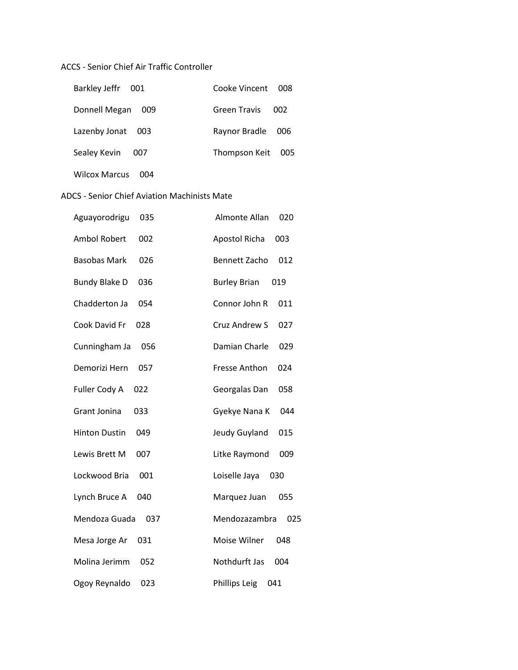### ACCS - Senior Chief Air Traffic Controller

| Barkley Jeffr 001    | Cooke Vincent 008 |     |
|----------------------|-------------------|-----|
| Donnell Megan<br>009 | Green Travis      | 002 |
| Lazenby Jonat 003    | Raynor Bradle     | 006 |
| Sealey Kevin<br>007  | Thompson Keit     | 005 |
| Wilcox Marcus<br>OO4 |                   |     |

### ADCS - Senior Chief Aviation Machinists Mate

| 035                  | Almonte Allan        |
|----------------------|----------------------|
| Aguayorodrigu        | 020                  |
| <b>Ambol Robert</b>  | <b>Apostol Richa</b> |
| 002                  | 003                  |
| <b>Basobas Mark</b>  | <b>Bennett Zacho</b> |
| 026                  | 012                  |
| <b>Bundy Blake D</b> | <b>Burley Brian</b>  |
| 036                  | 019                  |
| Chadderton Ja        | Connor John R        |
| 054                  | 011                  |
| Cook David Fr        | Cruz Andrew S        |
| 028                  | 027                  |
| Cunningham Ja        | Damian Charle        |
| 056                  | 029                  |
| Demorizi Hern        | Fresse Anthon        |
| 057                  | 024                  |
| Fuller Cody A        | Georgalas Dan        |
| 022                  | 058                  |
| <b>Grant Jonina</b>  | Gyekye Nana K        |
| 033                  | 044                  |
| <b>Hinton Dustin</b> | Jeudy Guyland        |
| 049                  | 015                  |
| Lewis Brett M        | Litke Raymond        |
| 007                  | 009                  |
| Lockwood Bria        | Loiselle Jaya        |
| 001                  | 030                  |
| Lynch Bruce A        | Marquez Juan         |
| 040                  | 055                  |
| Mendoza Guada        | Mendozazambra        |
| 037                  | 025                  |
| Mesa Jorge Ar        | Moise Wilner         |
| 031                  | 048                  |
| Molina Jerimm        | Nothdurft Jas        |
| 052                  | 004                  |
| 023                  | <b>Phillips Leig</b> |
| Ogoy Reynaldo        | 041                  |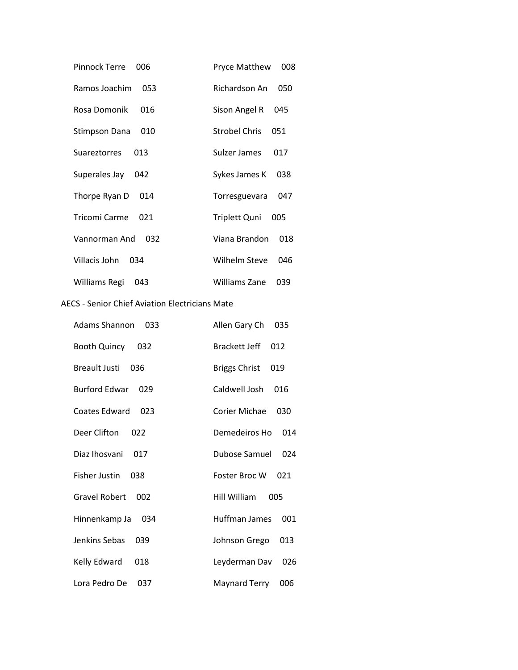| Pinnock Terre   | <b>Pryce Matthew</b> |
|-----------------|----------------------|
| 006             | 008                  |
| Ramos Joachim   | Richardson An        |
| 053             | 050                  |
| Rosa Domonik    | Sison Angel R        |
| 016             | 045                  |
| Stimpson Dana   | <b>Strobel Chris</b> |
| 010             | 051                  |
| Suareztorres    | Sulzer James         |
| 013             | 017                  |
| Superales Jay   | Sykes James K        |
| 042             | 038                  |
| Thorpe Ryan D   | Torresguevara        |
| 014             | 047                  |
| Tricomi Carme   | Triplett Quni        |
| O <sub>21</sub> | 005                  |
| Vannorman And   | Viana Brandon        |
| 032             | 018                  |
| Villacis John   | Wilhelm Steve        |
| 034             | 046                  |
| Williams Regi   | <b>Williams Zane</b> |
| 043             | 039                  |

### AECS - Senior Chief Aviation Electricians Mate

| <b>Adams Shannon</b><br>033 | Allen Gary Ch<br>035        |
|-----------------------------|-----------------------------|
| <b>Booth Quincy</b><br>032  | <b>Brackett Jeff</b><br>012 |
| Breault Justi<br>036        | <b>Briggs Christ</b><br>019 |
| <b>Burford Edwar</b><br>029 | Caldwell Josh<br>016        |
| Coates Edward<br>023        | Corier Michae<br>030        |
| Deer Clifton<br>022         | Demedeiros Ho<br>014        |
| Diaz Ihosvani<br>017        | Dubose Samuel<br>024        |
| <b>Fisher Justin</b><br>038 | Foster Broc W<br>021        |
| <b>Gravel Robert</b><br>002 | Hill William<br>005         |
| Hinnenkamp Ja<br>034        | Huffman James<br>001        |
| <b>Jenkins Sebas</b><br>039 | Johnson Grego<br>013        |
| Kelly Edward<br>018         | Leyderman Dav<br>026        |
| Lora Pedro De<br>037        | Maynard Terry<br>006        |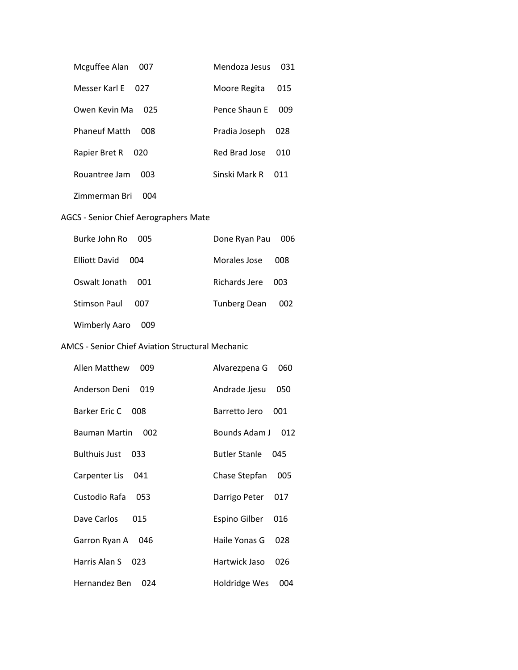| Mcguffee Alan<br>007        | Mendoza Jesus | 031 |
|-----------------------------|---------------|-----|
| Messer Karl F<br>027        | Moore Regita  | 015 |
| Owen Kevin Ma<br>025        | Pence Shaun F | 009 |
| <b>Phaneuf Matth</b><br>008 | Pradia Joseph | 028 |
| Rapier Bret R<br>020        | Red Brad Jose | 010 |
| Rouantree Jam<br>m          | Sinski Mark R |     |
|                             |               |     |

Zimmerman Bri 004

# AGCS - Senior Chief Aerographers Mate

| Burke John Ro 005           | Done Ryan Pau       | 006 |
|-----------------------------|---------------------|-----|
| Filiott David<br>004        | Morales Jose        | 008 |
| Oswalt Jonath<br>001.       | Richards Jere 003   |     |
| Stimson Paul<br>007         | <b>Tunberg Dean</b> | 002 |
| <b>Wimberly Aaro</b><br>009 |                     |     |

### AMCS - Senior Chief Aviation Structural Mechanic

| Allen Matthew<br>009 | Alvarezpena G<br>060        |
|----------------------|-----------------------------|
| Anderson Deni<br>019 | Andrade Jjesu<br>050        |
| Barker Eric C 008    | Barretto Jero<br>001        |
| Bauman Martin<br>002 | Bounds Adam J<br>012        |
| Bulthuis Just<br>033 | <b>Butler Stanle</b><br>045 |
| Carpenter Lis<br>041 | Chase Stepfan<br>005        |
| Custodio Rafa<br>053 | Darrigo Peter<br>017        |
| Dave Carlos<br>015   | <b>Espino Gilber</b><br>016 |
| Garron Ryan A 046    | Haile Yonas G<br>028        |
| Harris Alan S<br>023 | Hartwick Jaso<br>026        |
| Hernandez Ben<br>024 | Holdridge Wes<br>004        |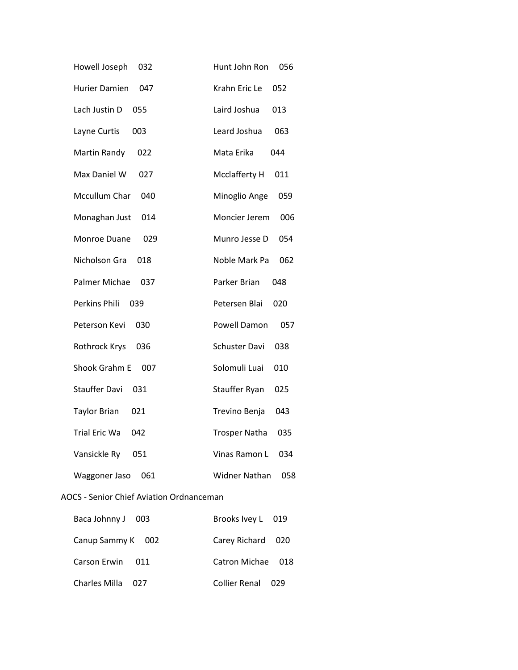| Howell Joseph        | Hunt John Ron        |
|----------------------|----------------------|
| 032                  | 056                  |
| <b>Hurier Damien</b> | Krahn Eric Le        |
| 047                  | 052                  |
| Lach Justin D        | Laird Joshua         |
| 055                  | 013                  |
| Layne Curtis         | Leard Joshua         |
| 003                  | 063                  |
| Martin Randy         | Mata Erika           |
| 022                  | 044                  |
| Max Daniel W         | Mcclafferty H        |
| 027                  | 011                  |
| Mccullum Char        | Minoglio Ange        |
| 040                  | 059                  |
| Monaghan Just        | Moncier Jerem        |
| 014                  | 006                  |
| Monroe Duane         | Munro Jesse D        |
| 029                  | 054                  |
| Nicholson Gra        | Noble Mark Pa        |
| 018                  | 062                  |
| Palmer Michae        | Parker Brian         |
| 037                  | 048                  |
| Perkins Phili        | Petersen Blai        |
| 039                  | 020                  |
| Peterson Kevi        | Powell Damon         |
| 030                  | 057                  |
| Rothrock Krys        | <b>Schuster Davi</b> |
| 036                  | 038                  |
| Shook Grahm E        | Solomuli Luai        |
| 007                  | 010                  |
| <b>Stauffer Davi</b> | Stauffer Ryan        |
| 031                  | 025                  |
| <b>Taylor Brian</b>  | Trevino Benja        |
| 021                  | 043                  |
| <b>Trial Eric Wa</b> | <b>Trosper Natha</b> |
| 042                  | 035                  |
| Vansickle Ry         | Vinas Ramon L        |
| 051                  | 034                  |
| Waggoner Jaso        | Widner Nathan        |
| 061                  | 058                  |

### AOCS - Senior Chief Aviation Ordnanceman

| Baca Johnny J 003 | Brooks Ivey L 019      |
|-------------------|------------------------|
| Canup Sammy K 002 | Carey Richard 020      |
| Carson Frwin 011  | Catron Michae 018      |
| Charles Milla 027 | Collier Renal<br>- 029 |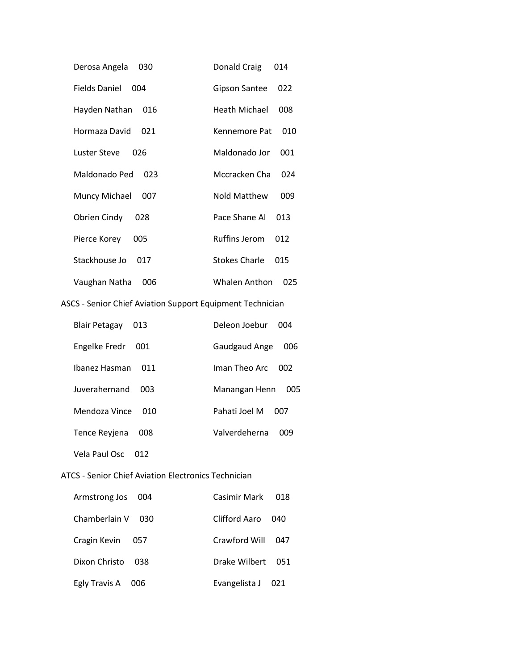| Derosa Angela<br>030        | Donald Craig<br>014         |     |
|-----------------------------|-----------------------------|-----|
| <b>Fields Daniel</b><br>004 | Gipson Santee<br>022        |     |
| Hayden Nathan<br>016        | Heath Michael<br>008        |     |
| Hormaza David<br>021        | Kennemore Pat               | 010 |
| Luster Steve<br>026         | Maldonado Jor               | 001 |
| Maldonado Ped<br>023        | Mccracken Cha               | 024 |
| Muncy Michael<br>007        | <b>Nold Matthew</b>         | 009 |
| Obrien Cindy<br>028         | Pace Shane Al<br>013        |     |
| Pierce Korey<br>005         | <b>Ruffins Jerom</b><br>012 |     |
| Stackhouse Jo<br>017        | <b>Stokes Charle</b><br>015 |     |
| Vaughan Natha<br>006        | Whalen Anthon               | 025 |

# ASCS - Senior Chief Aviation Support Equipment Technician

| <b>Blair Petagay</b><br>013 | Deleon Joebur<br>004 |
|-----------------------------|----------------------|
| Engelke Fredr<br>001        | Gaudgaud Ange<br>006 |
| Ibanez Hasman<br>011        | Iman Theo Arc<br>002 |
| <b>Iuverahernand</b><br>003 | Manangan Henn<br>005 |
| Mendoza Vince<br>010        | Pahati Joel M<br>007 |
| Tence Reyjena<br>008        | Valverdeherna<br>009 |
|                             |                      |

Vela Paul Osc 012

### ATCS - Senior Chief Aviation Electronics Technician

| Armstrong Jos 004    | Casimir Mark  | 018 |
|----------------------|---------------|-----|
| Chamberlain V 030    | Clifford Aaro | 040 |
| Cragin Kevin<br>057  | Crawford Will | 047 |
| Dixon Christo<br>038 | Drake Wilbert | 051 |
| Egly Travis A<br>006 | Evangelista J | 021 |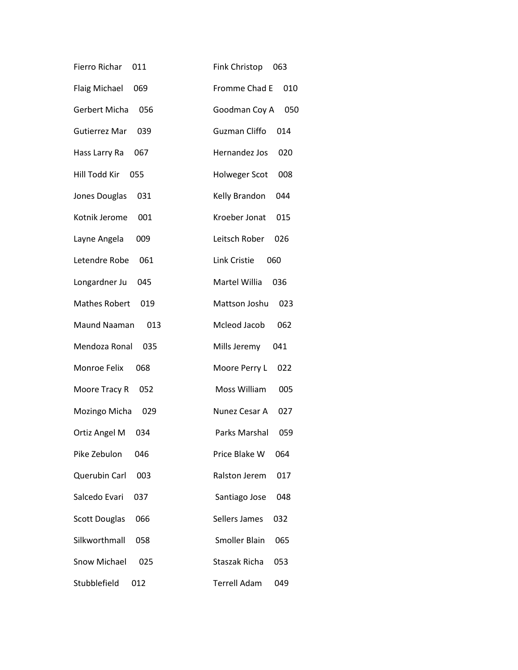| Fierro Richar<br>011        | <b>Fink Christop</b><br>063 |
|-----------------------------|-----------------------------|
| <b>Flaig Michael</b><br>069 | Fromme Chad E<br>010        |
| Gerbert Micha<br>056        | Goodman Coy A<br>050        |
| Gutierrez Mar<br>039        | <b>Guzman Cliffo</b><br>014 |
| Hass Larry Ra<br>067        | Hernandez Jos<br>020        |
| Hill Todd Kir<br>055        | <b>Holweger Scot</b><br>008 |
| Jones Douglas<br>031        | Kelly Brandon<br>044        |
| Kotnik Jerome<br>001        | Kroeber Jonat<br>015        |
| Layne Angela<br>009         | Leitsch Rober<br>026        |
| Letendre Robe<br>061        | Link Cristie<br>060         |
| Longardner Ju<br>045        | Martel Willia<br>036        |
| <b>Mathes Robert</b><br>019 | Mattson Joshu<br>023        |
| Maund Naaman<br>013         | Mcleod Jacob<br>062         |
| Mendoza Ronal<br>035        | Mills Jeremy<br>041         |
| Monroe Felix<br>068         | Moore Perry L<br>022        |
| Moore Tracy R<br>052        | Moss William<br>005         |
| Mozingo Micha<br>029        | Nunez Cesar A<br>027        |
| Ortiz Angel M<br>034        | Parks Marshal<br>059        |
| Pike Zebulon<br>046         | Price Blake W<br>064        |
| Querubin Carl<br>003        | Ralston Jerem<br>017        |
| Salcedo Evari<br>037        | Santiago Jose<br>048        |
| <b>Scott Douglas</b><br>066 | Sellers James<br>032        |
| Silkworthmall<br>058        | <b>Smoller Blain</b><br>065 |
| Snow Michael<br>025         | Staszak Richa<br>053        |
| Stubblefield<br>012         | <b>Terrell Adam</b><br>049  |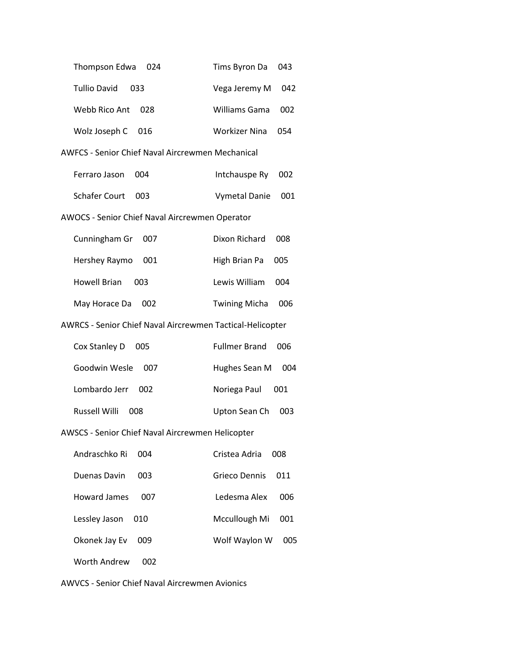| Thompson Edwa                                             | Tims Byron Da        |  |  |
|-----------------------------------------------------------|----------------------|--|--|
| 024                                                       | 043                  |  |  |
| <b>Tullio David</b>                                       | Vega Jeremy M        |  |  |
| 033                                                       | 042                  |  |  |
| Webb Rico Ant                                             | Williams Gama        |  |  |
| 028                                                       | 002                  |  |  |
| Wolz Joseph C                                             | <b>Workizer Nina</b> |  |  |
| 016                                                       | 054                  |  |  |
| AWFCS - Senior Chief Naval Aircrewmen Mechanical          |                      |  |  |
| Ferraro Jason                                             | Intchauspe Ry        |  |  |
| 004                                                       | 002                  |  |  |
| <b>Schafer Court</b>                                      | <b>Vymetal Danie</b> |  |  |
| 003                                                       | 001                  |  |  |
| AWOCS - Senior Chief Naval Aircrewmen Operator            |                      |  |  |
| 007                                                       | Dixon Richard        |  |  |
| Cunningham Gr                                             | 008                  |  |  |
| Hershey Raymo                                             | High Brian Pa        |  |  |
| 001                                                       | 005                  |  |  |
| <b>Howell Brian</b>                                       | Lewis William        |  |  |
| 003                                                       | 004                  |  |  |
| May Horace Da                                             | <b>Twining Micha</b> |  |  |
| 002                                                       | 006                  |  |  |
| AWRCS - Senior Chief Naval Aircrewmen Tactical-Helicopter |                      |  |  |
| Cox Stanley D                                             | <b>Fullmer Brand</b> |  |  |
| 005                                                       | 006                  |  |  |
| Goodwin Wesle                                             | Hughes Sean M        |  |  |
| 007                                                       | 004                  |  |  |
| Lombardo Jerr                                             | Noriega Paul         |  |  |
| 002                                                       | 001                  |  |  |
| Russell Willi                                             | Upton Sean Ch        |  |  |
| 008                                                       | 003                  |  |  |
| AWSCS - Senior Chief Naval Aircrewmen Helicopter          |                      |  |  |
| Andraschko Ri                                             | Cristea Adria        |  |  |
| 004                                                       | 008                  |  |  |
| Duenas Davin                                              | <b>Grieco Dennis</b> |  |  |
| 003                                                       | 011                  |  |  |
| <b>Howard James</b>                                       | Ledesma Alex         |  |  |
| 007                                                       | 006                  |  |  |
| Lessley Jason                                             | Mccullough Mi        |  |  |
| 010                                                       | 001                  |  |  |
| Okonek Jay Ev                                             | Wolf Waylon W        |  |  |
| 009                                                       | 005                  |  |  |
| <b>Worth Andrew</b><br>002                                |                      |  |  |

AWVCS - Senior Chief Naval Aircrewmen Avionics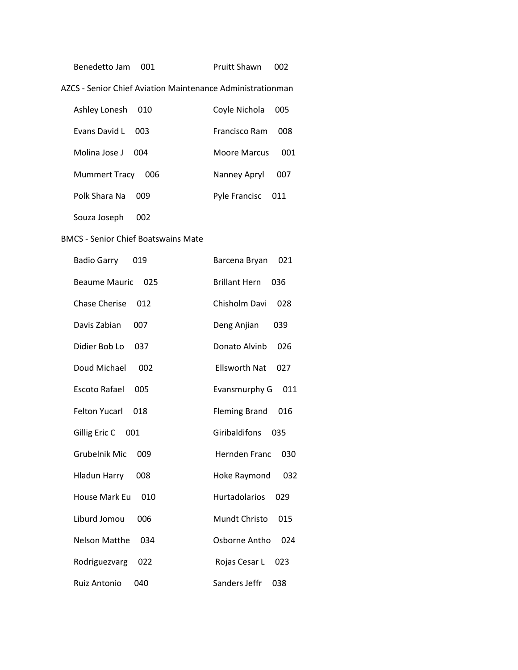| Benedetto Jam 001 | Pruitt Shawn 002 |  |
|-------------------|------------------|--|
|                   |                  |  |

AZCS - Senior Chief Aviation Maintenance Administrationman

| Ashley Lonesh<br>010        | Coyle Nichola        | 005 |
|-----------------------------|----------------------|-----|
| Evans David L<br>003        | <b>Francisco Ram</b> | 008 |
| Molina Jose J<br>004        | <b>Moore Marcus</b>  | 001 |
| <b>Mummert Tracy</b><br>006 | Nanney Apryl         | 007 |
| Polk Shara Na<br>nng        | Pyle Francisc        | 011 |

Souza Joseph 002

# BMCS - Senior Chief Boatswains Mate

| <b>Badio Garry</b>   | Barcena Bryan        |
|----------------------|----------------------|
| 019                  | 021                  |
| <b>Beaume Mauric</b> | <b>Brillant Hern</b> |
| 025                  | 036                  |
| <b>Chase Cherise</b> | Chisholm Davi        |
| 012                  | 028                  |
| Davis Zabian         | Deng Anjian          |
| 007                  | 039                  |
| Didier Bob Lo        | Donato Alvinb        |
| 037                  | 026                  |
| Doud Michael         | <b>Ellsworth Nat</b> |
| 002                  | 027                  |
| Escoto Rafael        | Evansmurphy G        |
| 005                  | 011                  |
| <b>Felton Yucarl</b> | <b>Fleming Brand</b> |
| 018                  | 016                  |
| Gillig Eric C        | Giribaldifons        |
| - 001                | 035                  |
| <b>Grubelnik Mic</b> | <b>Hernden Franc</b> |
| 009                  | 030                  |
| <b>Hladun Harry</b>  | 032                  |
| 008                  | Hoke Raymond         |
| House Mark Eu        | Hurtadolarios        |
| 010                  | 029                  |
| Liburd Jomou         | Mundt Christo        |
| 006                  | 015                  |
| <b>Nelson Matthe</b> | Osborne Antho        |
| 034                  | 024                  |
| Rodriguezvarg        | Rojas Cesar L        |
| 022                  | 023                  |
| <b>Ruiz Antonio</b>  | Sanders Jeffr        |
| 040                  | 038                  |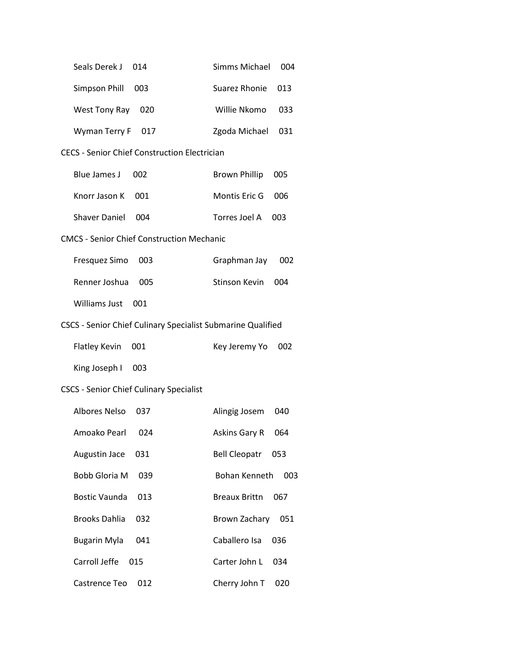| Seals Derek J                                               | <b>Simms Michael</b> |  |  |
|-------------------------------------------------------------|----------------------|--|--|
| 014                                                         | 004                  |  |  |
| Simpson Phill                                               | Suarez Rhonie        |  |  |
| 003                                                         | 013                  |  |  |
| West Tony Ray                                               | Willie Nkomo         |  |  |
| 020                                                         | 033                  |  |  |
| Wyman Terry F 017                                           | Zgoda Michael<br>031 |  |  |
| <b>CECS - Senior Chief Construction Electrician</b>         |                      |  |  |
| <b>Blue James J</b>                                         | <b>Brown Phillip</b> |  |  |
| 002                                                         | 005                  |  |  |
| Knorr Jason K                                               | Montis Eric G        |  |  |
| 001                                                         | 006                  |  |  |
| <b>Shaver Daniel</b>                                        | Torres Joel A        |  |  |
| 004                                                         | 003                  |  |  |
| <b>CMCS - Senior Chief Construction Mechanic</b>            |                      |  |  |
| Fresquez Simo                                               | Graphman Jay         |  |  |
| 003                                                         | 002                  |  |  |
| Renner Joshua                                               | <b>Stinson Kevin</b> |  |  |
| 005                                                         | 004                  |  |  |
| <b>Williams Just</b><br>001                                 |                      |  |  |
| CSCS - Senior Chief Culinary Specialist Submarine Qualified |                      |  |  |
| <b>Flatley Kevin</b>                                        | Key Jeremy Yo        |  |  |
| 001                                                         | 002                  |  |  |
| King Joseph I<br>003                                        |                      |  |  |
| <b>CSCS - Senior Chief Culinary Specialist</b>              |                      |  |  |
| <b>Albores Nelso</b>                                        | Alingig Josem        |  |  |
| 037                                                         | 040                  |  |  |
| Amoako Pearl                                                | Askins Gary R        |  |  |
| 024                                                         | 064                  |  |  |
| Augustin Jace                                               | Bell Cleopatr        |  |  |
| 031                                                         | 053                  |  |  |
| <b>Bobb Gloria M</b>                                        | Bohan Kenneth        |  |  |
| 039                                                         | 003                  |  |  |
| <b>Bostic Vaunda</b>                                        | <b>Breaux Brittn</b> |  |  |
| 013                                                         | 067                  |  |  |
| <b>Brooks Dahlia</b>                                        | Brown Zachary        |  |  |
| 032                                                         | 051                  |  |  |
| <b>Bugarin Myla</b>                                         | Caballero Isa        |  |  |
| 041                                                         | 036                  |  |  |
| Carroll Jeffe                                               | Carter John L        |  |  |
| 015                                                         | 034                  |  |  |
| Castrence Teo                                               | Cherry John T        |  |  |
| 012                                                         | 020                  |  |  |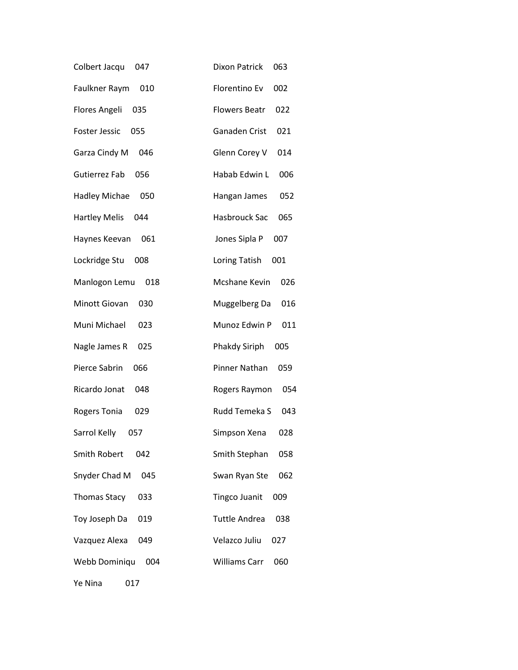| Colbert Jacqu        | <b>Dixon Patrick</b> |
|----------------------|----------------------|
| 047                  | 063                  |
| Faulkner Raym        | Florentino Ev        |
| 010                  | 002                  |
| Flores Angeli        | <b>Flowers Beatr</b> |
| 035                  | 022                  |
| <b>Foster Jessic</b> | Ganaden Crist        |
| 055                  | 021                  |
| Garza Cindy M        | Glenn Corey V        |
| 046                  | 014                  |
| Gutierrez Fab        | Habab Edwin L        |
| 056                  | 006                  |
| <b>Hadley Michae</b> | Hangan James         |
| 050                  | 052                  |
| <b>Hartley Melis</b> | Hasbrouck Sac        |
| 044                  | 065                  |
| 061                  | Jones Sipla P        |
| Haynes Keevan        | 007                  |
| Lockridge Stu        | Loring Tatish        |
| 008                  | 001                  |
| Manlogon Lemu        | Mcshane Kevin        |
| 018                  | 026                  |
| Minott Giovan        | Muggelberg Da        |
| 030                  | 016                  |
| Muni Michael         | Munoz Edwin P        |
| 023                  | 011                  |
| Nagle James R        | Phakdy Siriph        |
| 025                  | 005                  |
| Pierce Sabrin        | Pinner Nathan        |
| 066                  | 059                  |
| Ricardo Jonat        | Rogers Raymon        |
| 048                  | 054                  |
| Rogers Tonia         | Rudd Temeka S        |
| 029                  | 043                  |
| Sarrol Kelly         | Simpson Xena         |
| 057                  | 028                  |
| <b>Smith Robert</b>  | Smith Stephan        |
| 042                  | 058                  |
| Snyder Chad M        | Swan Ryan Ste        |
| 045                  | 062                  |
| <b>Thomas Stacy</b>  | <b>Tingco Juanit</b> |
| 033                  | 009                  |
| Toy Joseph Da        | <b>Tuttle Andrea</b> |
| 019                  | 038                  |
| Vazquez Alexa        | Velazco Juliu        |
| 049                  | 027                  |
| Webb Dominiqu        | <b>Williams Carr</b> |
| 004                  | 060                  |
| Ye Nina<br>017       |                      |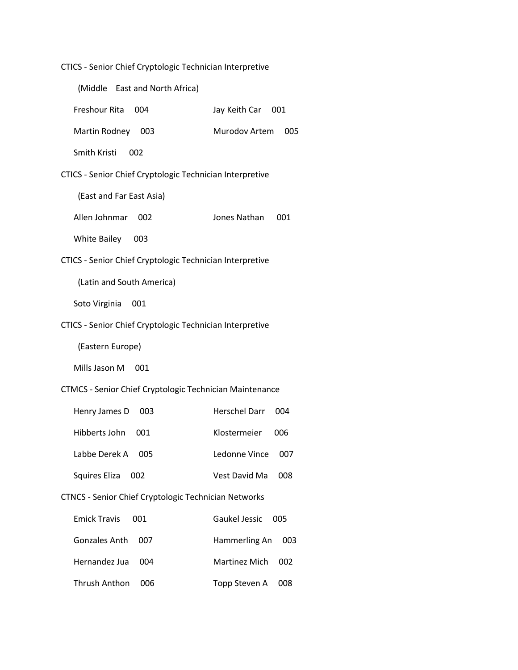| CTICS - Senior Chief Cryptologic Technician Interpretive |  |  |  |  |
|----------------------------------------------------------|--|--|--|--|
|----------------------------------------------------------|--|--|--|--|

|                           | (Middle East and North Africa)                                 |                             |
|---------------------------|----------------------------------------------------------------|-----------------------------|
| Freshour Rita             | 004                                                            | Jay Keith Car 001           |
| Martin Rodney             | - 003                                                          | Murodov Artem<br>005        |
| Smith Kristi              | 002                                                            |                             |
|                           | CTICS - Senior Chief Cryptologic Technician Interpretive       |                             |
| (East and Far East Asia)  |                                                                |                             |
| Allen Johnmar             | 002                                                            | Jones Nathan<br>001         |
| <b>White Bailey</b>       | - 003                                                          |                             |
|                           | CTICS - Senior Chief Cryptologic Technician Interpretive       |                             |
| (Latin and South America) |                                                                |                             |
| Soto Virginia             | 001                                                            |                             |
|                           | CTICS - Senior Chief Cryptologic Technician Interpretive       |                             |
| (Eastern Europe)          |                                                                |                             |
| Mills Jason M             | 001                                                            |                             |
|                           | <b>CTMCS - Senior Chief Cryptologic Technician Maintenance</b> |                             |
| Henry James D             | 003                                                            | <b>Herschel Darr</b><br>004 |
| Hibberts John             | 001                                                            | Klostermeier<br>006         |
| Labbe Derek A             | 005                                                            | Ledonne Vince<br>007        |
| Squires Eliza             | 002                                                            | Vest David Ma<br>008        |
|                           | <b>CTNCS - Senior Chief Cryptologic Technician Networks</b>    |                             |
| <b>Emick Travis</b>       | 001                                                            | Gaukel Jessic<br>005        |
| <b>Gonzales Anth</b>      | 007                                                            | Hammerling An<br>003        |
| Hernandez Jua             | 004                                                            | <b>Martinez Mich</b><br>002 |
| <b>Thrush Anthon</b>      | 006                                                            | Topp Steven A<br>008        |
|                           |                                                                |                             |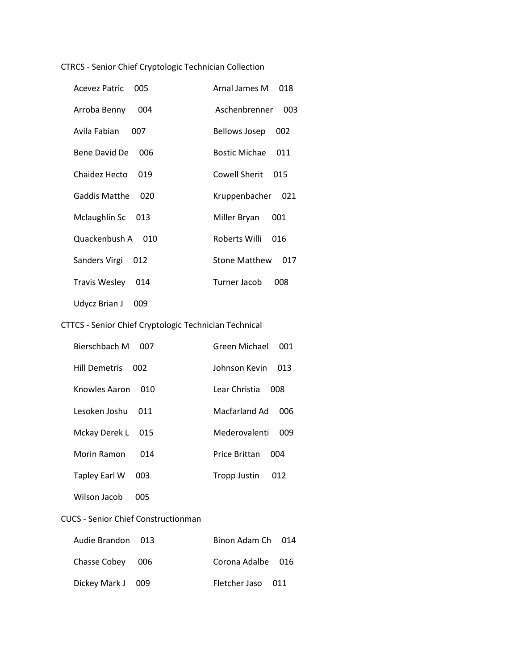CTRCS - Senior Chief Cryptologic Technician Collection

| Acevez Patric        | Arnal James M        |
|----------------------|----------------------|
| 005                  | 018                  |
| Arroba Benny         | Aschenbrenner        |
| 004                  | 003                  |
| Avila Fabian         | <b>Bellows Josep</b> |
| 007                  | 002                  |
| Bene David De        | <b>Bostic Michae</b> |
| 006                  | 011                  |
| Chaidez Hecto        | Cowell Sherit        |
| 019                  | 015                  |
| Gaddis Matthe        | Kruppenbacher        |
| 020                  | 021                  |
| Mclaughlin Sc 013    | Miller Bryan<br>001  |
| Quackenbush A        | Roberts Willi        |
|                      | 016                  |
| Sanders Virgi        | <b>Stone Matthew</b> |
| 012                  | 017                  |
| <b>Travis Wesley</b> | Turner Jacob         |
| 014                  | 008                  |
| Udycz Brian J<br>009 |                      |

# CTTCS - Senior Chief Cryptologic Technician Technical

| Bierschbach M        | 007 | Green Michael        | 001 |
|----------------------|-----|----------------------|-----|
| <b>Hill Demetris</b> | 002 | Johnson Kevin        | 013 |
| Knowles Aaron        | 010 | Lear Christia        | 008 |
| Lesoken Joshu        | 011 | Macfarland Ad        | 006 |
| Mckay Derek L        | 015 | Mederovalenti        | 009 |
| Morin Ramon          | 014 | <b>Price Brittan</b> | 004 |
| Tapley Earl W        | 003 | Tropp Justin         | 012 |

Wilson Jacob 005

### CUCS - Senior Chief Constructionman

| Audie Brandon 013 | Binon Adam Ch 014 |  |
|-------------------|-------------------|--|
| Chasse Cobey 006  | Corona Adalbe 016 |  |
| Dickey Mark J 009 | Fletcher Jaso 011 |  |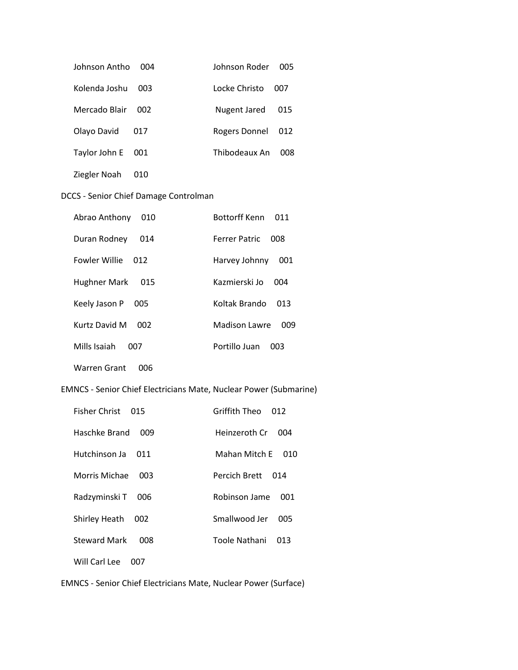| Johnson Antho | 004 | Johnson Roder | <b>005</b> |
|---------------|-----|---------------|------------|
| Kolenda Joshu | 003 | Locke Christo | 007        |
| Mercado Blair | 002 | Nugent Jared  | 015        |
| Olayo David   | 017 | Rogers Donnel | 012        |
| Taylor John E | 001 | Thibodeaux An | 008        |
| Ziegler Noah  |     |               |            |

### DCCS - Senior Chief Damage Controlman

| Abrao Anthony<br>010 | Bottorff Kenn<br>011 |
|----------------------|----------------------|
| Duran Rodney<br>014  | Ferrer Patric<br>008 |
| Fowler Willie<br>012 | Harvey Johnny<br>001 |
| Hughner Mark<br>015  | Kazmierski Jo<br>004 |
| Keely Jason P<br>005 | Koltak Brando<br>በ13 |
| Kurtz David M<br>002 | Madison Lawre<br>009 |
| Mills Isaiah<br>007  | Portillo Juan<br>003 |
| Warren Grant<br>006  |                      |

# EMNCS - Senior Chief Electricians Mate, Nuclear Power (Submarine)

| Fisher Christ              | Griffith Theo |
|----------------------------|---------------|
| 015                        | 012           |
| Haschke Brand              | Heinzeroth Cr |
| 009                        | 004           |
| Hutchinson Ja              | Mahan Mitch F |
| 011                        | 010           |
| Morris Michae              | Percich Brett |
| 003                        | 014           |
| Radzyminski T              | Robinson Jame |
| 006                        | 001           |
| Shirley Heath              | Smallwood Jer |
| 002                        | 005           |
| <b>Steward Mark</b>        | Toole Nathani |
| 008                        | 013           |
| Will Carl Lee<br>$($ $)()$ |               |

EMNCS - Senior Chief Electricians Mate, Nuclear Power (Surface)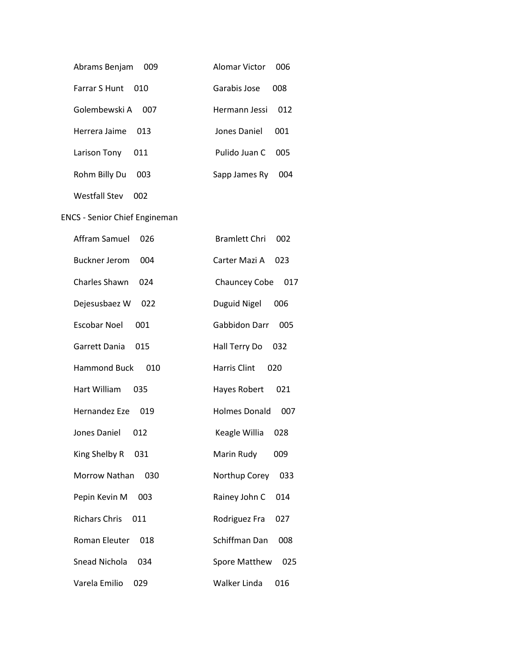| Abrams Benjam<br>009        | Alomar Victor | nng |
|-----------------------------|---------------|-----|
| <b>Farrar S Hunt</b><br>010 | Garabis Jose  | 008 |
| Golembewski A<br>007        | Hermann Jessi | 012 |
| Herrera Jaime<br>013        | Jones Daniel  | 001 |
| Larison Tony<br>011         | Pulido Juan C | 005 |
| Rohm Billy Du<br>003        | Sapp James Ry | 004 |

Westfall Stev 002

ENCS - Senior Chief Engineman

| Affram Samuel        | 026 | <b>Bramlett Chri</b><br>002 |  |
|----------------------|-----|-----------------------------|--|
| <b>Buckner Jerom</b> | 004 | Carter Mazi A<br>023        |  |
| <b>Charles Shawn</b> | 024 | <b>Chauncey Cobe</b><br>017 |  |
| Dejesusbaez W        | 022 | Duguid Nigel<br>006         |  |
| <b>Escobar Noel</b>  | 001 | Gabbidon Darr<br>005        |  |
| Garrett Dania        | 015 | Hall Terry Do<br>032        |  |
| <b>Hammond Buck</b>  | 010 | <b>Harris Clint</b><br>020  |  |
| Hart William         | 035 | Hayes Robert<br>021         |  |
| Hernandez Eze        | 019 | <b>Holmes Donald</b><br>007 |  |
| Jones Daniel         | 012 | Keagle Willia<br>028        |  |
| King Shelby R        | 031 | Marin Rudy<br>009           |  |
| Morrow Nathan        | 030 | Northup Corey<br>033        |  |
| Pepin Kevin M        | 003 | Rainey John C<br>014        |  |
| <b>Richars Chris</b> | 011 | Rodriguez Fra<br>027        |  |
| Roman Eleuter        | 018 | Schiffman Dan<br>008        |  |
| Snead Nichola        | 034 | <b>Spore Matthew</b><br>025 |  |
| Varela Emilio        | 029 | Walker Linda<br>016         |  |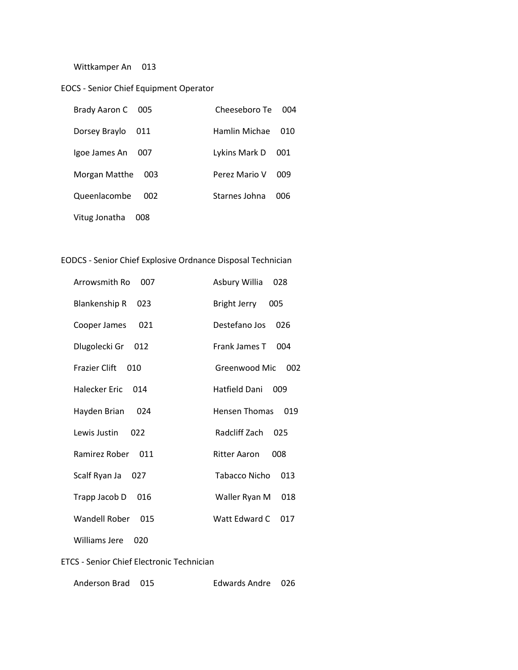Wittkamper An 013

### EOCS - Senior Chief Equipment Operator

| Brady Aaron C 005 |     | Cheeseboro Te | 004  |
|-------------------|-----|---------------|------|
| Dorsey Braylo     | 011 | Hamlin Michae | 01() |
| Igoe James An     | 007 | Lykins Mark D | 001  |
| Morgan Matthe     | 003 | Perez Mario V | 009  |
| Queenlacombe      | 002 | Starnes Johna | 006  |
| Vitug Jonatha     | 008 |               |      |

### EODCS - Senior Chief Explosive Ordnance Disposal Technician

| Arrowsmith Ro<br>007        | Asbury Willia<br>028        |
|-----------------------------|-----------------------------|
| <b>Blankenship R</b><br>023 | Bright Jerry<br>005         |
| Cooper James<br>021         | Destefano Jos<br>026        |
| Dlugolecki Gr<br>012        | <b>Frank James T</b><br>004 |
| Frazier Clift<br>010        | Greenwood Mic<br>002        |
| Halecker Fric<br>014        | Hatfield Dani<br>009        |
| Hayden Brian<br>024         | Hensen Thomas<br>019        |
| Lewis Justin<br>022         | Radcliff Zach<br>025        |
| Ramirez Rober 011           | 008<br>Ritter Aaron         |
| Scalf Ryan Ja<br>027        | Tabacco Nicho<br>013        |
| Trapp Jacob D<br>016        | Waller Ryan M<br>018        |
| Wandell Rober<br>015        | Watt Fdward C<br>017        |
| Williams Jere<br>020        |                             |

### ETCS - Senior Chief Electronic Technician

| Anderson Brad 015 |  | Edwards Andre 026 |  |
|-------------------|--|-------------------|--|
|-------------------|--|-------------------|--|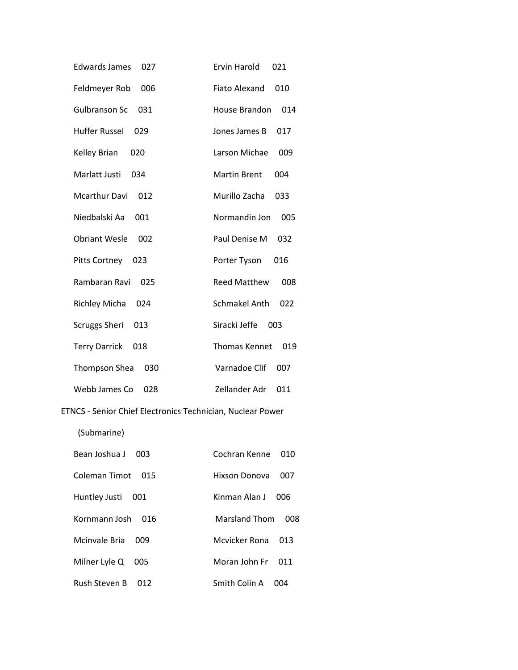| <b>Edwards James</b><br>027 | <b>Ervin Harold</b><br>021  |
|-----------------------------|-----------------------------|
| Feldmeyer Rob<br>006        | <b>Fiato Alexand</b><br>010 |
| <b>Gulbranson Sc</b><br>031 | House Brandon<br>014        |
| <b>Huffer Russel</b><br>029 | Jones James B<br>017        |
| Kelley Brian<br>020         | Larson Michae<br>009        |
| Marlatt Justi<br>034        | <b>Martin Brent</b><br>004  |
| <b>Mcarthur Davi</b><br>012 | Murillo Zacha<br>033        |
| Niedbalski Aa<br>001        | Normandin Jon<br>005        |
| <b>Obriant Wesle</b><br>002 | Paul Denise M<br>032        |
| Pitts Cortney<br>023        | Porter Tyson<br>016         |
| Rambaran Ravi<br>025        | <b>Reed Matthew</b><br>008  |
| <b>Richley Micha</b><br>024 | <b>Schmakel Anth</b><br>022 |
| <b>Scruggs Sheri</b><br>013 | Siracki Jeffe<br>003        |
| <b>Terry Darrick</b><br>018 | <b>Thomas Kennet</b><br>019 |
| Thompson Shea<br>030        | Varnadoe Clif<br>007        |
| Webb James Co<br>028        | Zellander Adr<br>011        |

# ETNCS - Senior Chief Electronics Technician, Nuclear Power

(Submarine)

| Bean Joshua J<br>003 | Cochran Kenne<br>010    |
|----------------------|-------------------------|
| Coleman Timot<br>015 | Hixson Donova<br>007    |
| Huntley Justi<br>001 | Kinman Alan J<br>006    |
| Kornmann Josh<br>016 | Marsland Thom<br>008    |
| Mcinvale Bria<br>009 | Mcvicker Rona<br>013    |
| Milner Lyle Q<br>005 | Moran John Fr<br>O11    |
| Rush Steven B<br>012 | Smith Colin A<br>(1014) |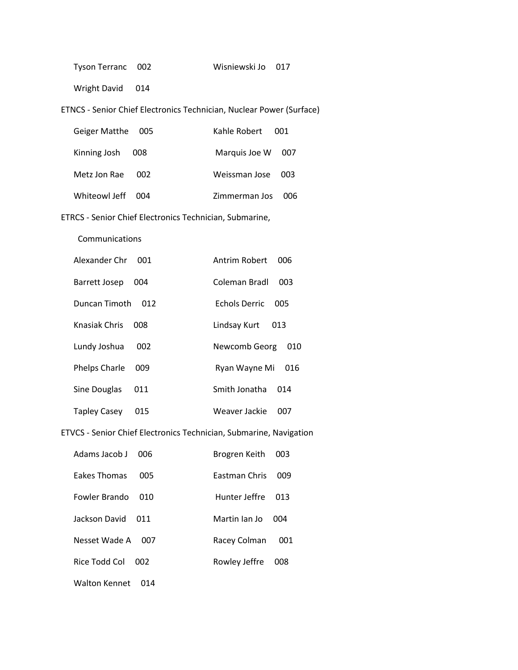| Tyson Terranc | 002 |
|---------------|-----|
|               |     |

Wright David 014

ETNCS - Senior Chief Electronics Technician, Nuclear Power (Surface)

| Geiger Matthe 005 |       | Kahle Robert 001  |     |
|-------------------|-------|-------------------|-----|
| Kinning Josh      | - 008 | Marquis Joe W 007 |     |
| Metz Jon Rae      | 002   | Weissman Jose 003 |     |
| WhiteowLleff 004  |       | Zimmerman Jos     | 006 |

ETRCS - Senior Chief Electronics Technician, Submarine,

Communications

| Alexander Chr | 001 | Antrim Robert        | ററ6 |
|---------------|-----|----------------------|-----|
| Barrett Josep | 004 | Coleman Bradl        | 003 |
| Duncan Timoth | 012 | <b>Echols Derric</b> | 005 |
| Knasiak Chris | 008 | Lindsay Kurt         | 013 |
| Lundy Joshua  | 002 | Newcomb Georg        | 010 |
| Phelps Charle | 009 | Ryan Wayne Mi        | 016 |
| Sine Douglas  | 011 | Smith Jonatha        | 014 |
| Tapley Casey  | 015 | Weaver Jackie        | 007 |

### ETVCS - Senior Chief Electronics Technician, Submarine, Navigation

| Adams Jacob L       | nng | Brogren Keith        | 003 |
|---------------------|-----|----------------------|-----|
| <b>Fakes Thomas</b> | 005 | <b>Fastman Chris</b> | 009 |
| Fowler Brando       | 010 | Hunter leffre        | 013 |
| Jackson David       | 011 | Martin Jan Jo        | 004 |
| Nesset Wade A       | 007 | Racey Colman         | 001 |
| Rice Todd Col       | 002 | Rowley Jeffre        | 008 |
|                     |     |                      |     |

Walton Kennet 014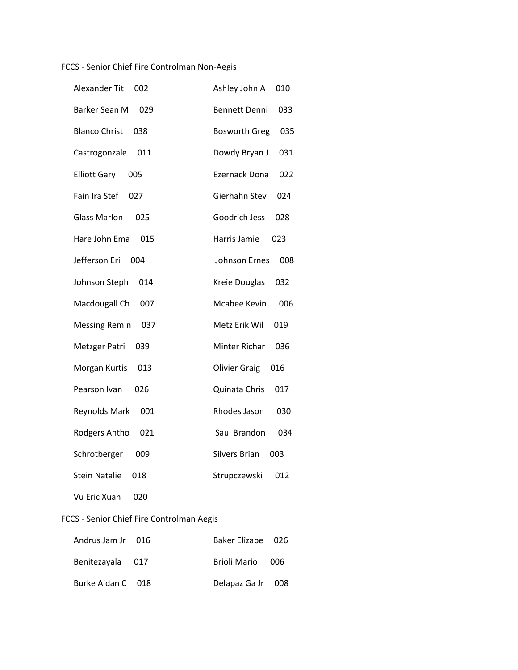# FCCS - Senior Chief Fire Controlman Non-Aegis

| Alexander Tit<br>002        | Ashley John A<br>010        |
|-----------------------------|-----------------------------|
| Barker Sean M<br>029        | <b>Bennett Denni</b><br>033 |
| <b>Blanco Christ</b><br>038 | <b>Bosworth Greg</b><br>035 |
| Castrogonzale<br>011        | Dowdy Bryan J<br>031        |
| <b>Elliott Gary</b><br>005  | Ezernack Dona<br>022        |
| Fain Ira Stef<br>027        | Gierhahn Stev<br>024        |
| <b>Glass Marlon</b><br>025  | Goodrich Jess<br>028        |
| Hare John Ema<br>015        | Harris Jamie<br>023         |
| Jefferson Eri<br>004        | <b>Johnson Ernes</b><br>008 |
| Johnson Steph<br>014        | Kreie Douglas<br>032        |
| Macdougall Ch<br>007        | Mcabee Kevin<br>006         |
| <b>Messing Remin</b><br>037 | Metz Erik Wil<br>019        |
| Metzger Patri<br>039        | Minter Richar<br>036        |
| Morgan Kurtis<br>013        | <b>Olivier Graig</b><br>016 |
| Pearson Ivan<br>026         | Quinata Chris<br>017        |
| Reynolds Mark<br>001        | Rhodes Jason<br>030         |
| Rodgers Antho<br>021        | Saul Brandon<br>034         |
| Schrotberger<br>009         | <b>Silvers Brian</b><br>003 |
| <b>Stein Natalie</b><br>018 | Strupczewski<br>012         |
| Vu Eric Xuan<br>020         |                             |

# FCCS - Senior Chief Fire Controlman Aegis

| Andrus Jam Jr 016 | Baker Elizabe 026 |     |
|-------------------|-------------------|-----|
| Benitezayala 017  | Brioli Mario      | 006 |
| Burke Aidan C 018 | Delapaz Ga Jr 008 |     |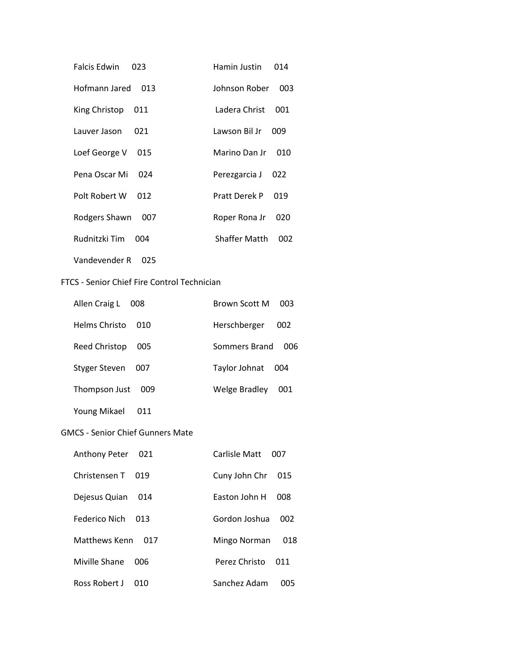| <b>Falcis Edwin</b><br>023 | Hamin Justin         | 014 |
|----------------------------|----------------------|-----|
| Hofmann Jared 013          | Johnson Rober        | 003 |
| King Christop<br>011       | Ladera Christ        | 001 |
| Lauver Jason<br>021        | Lawson Bil Jr        | 009 |
| Loef George V<br>015       | Marino Dan Jr        | 010 |
| Pena Oscar Mi<br>024       | Perezgarcia J        | 022 |
| Polt Robert W<br>012       | <b>Pratt Derek P</b> | 019 |
| Rodgers Shawn<br>007       | Roper Rona Jr        | 020 |
| Rudnitzki Tim<br>004       | <b>Shaffer Matth</b> | 002 |
| Vandevender R<br>025       |                      |     |

### FTCS - Senior Chief Fire Control Technician

| Allen Craig L<br>008        | Brown Scott M<br>003 |
|-----------------------------|----------------------|
| Helms Christo<br>010        | Herschberger<br>002  |
| <b>Reed Christop</b><br>005 | Sommers Brand<br>006 |
| Styger Steven<br>007        | Taylor Johnat<br>004 |
| Thompson Just<br>009        | Welge Bradley<br>001 |
| Young Mikael<br>011         |                      |

### GMCS - Senior Chief Gunners Mate

| Anthony Peter<br>021 | Carlisle Matt<br>nn7 |
|----------------------|----------------------|
| Christensen T<br>019 | Cuny John Chr<br>015 |
| Dejesus Quian<br>014 | Faston John H<br>008 |
| Federico Nich<br>013 | Gordon Joshua<br>002 |
| Matthews Kenn<br>017 | 018<br>Mingo Norman  |
| Miville Shane<br>006 | Perez Christo<br>011 |
| Ross Robert J<br>010 | Sanchez Adam<br>005  |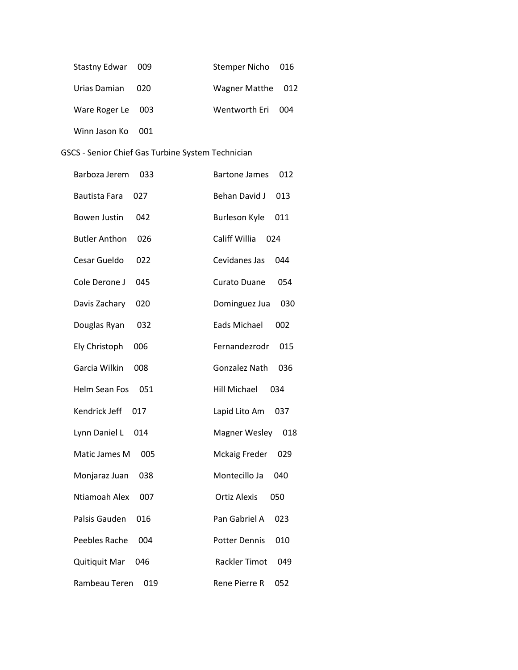| Stastny Edwar 009 |     | Stemper Nicho 016 |  |
|-------------------|-----|-------------------|--|
| Urias Damian 020  |     | Wagner Matthe 012 |  |
| Ware Roger Le 003 |     | Wentworth Eri 004 |  |
| Winn Jason Ko     | 001 |                   |  |

# GSCS - Senior Chief Gas Turbine System Technician

| Barboza Jerem<br>033        | <b>Bartone James</b><br>012 |
|-----------------------------|-----------------------------|
| <b>Bautista Fara</b><br>027 | <b>Behan David J</b><br>013 |
| <b>Bowen Justin</b><br>042  | Burleson Kyle<br>011        |
| <b>Butler Anthon</b><br>026 | Califf Willia<br>024        |
| Cesar Gueldo<br>022         | Cevidanes Jas<br>044        |
| Cole Derone J<br>045        | <b>Curato Duane</b><br>054  |
| Davis Zachary<br>020        | Dominguez Jua<br>030        |
| Douglas Ryan<br>032         | Eads Michael<br>002         |
| Ely Christoph<br>006        | Fernandezrodr<br>015        |
| Garcia Wilkin<br>008        | Gonzalez Nath<br>036        |
| Helm Sean Fos<br>051        | <b>Hill Michael</b><br>034  |
| Kendrick Jeff<br>017        | Lapid Lito Am<br>037        |
| Lynn Daniel L<br>014        | <b>Magner Wesley</b><br>018 |
| Matic James M<br>005        | <b>Mckaig Freder</b><br>029 |
| Monjaraz Juan<br>038        | Montecillo Ja<br>040        |
| Ntiamoah Alex<br>007        | <b>Ortiz Alexis</b><br>050  |
| Palsis Gauden<br>016        | Pan Gabriel A<br>023        |
| Peebles Rache<br>004        | <b>Potter Dennis</b><br>010 |
| Quitiquit Mar<br>046        | <b>Rackler Timot</b><br>049 |
| Rambeau Teren<br>019        | 052<br>Rene Pierre R        |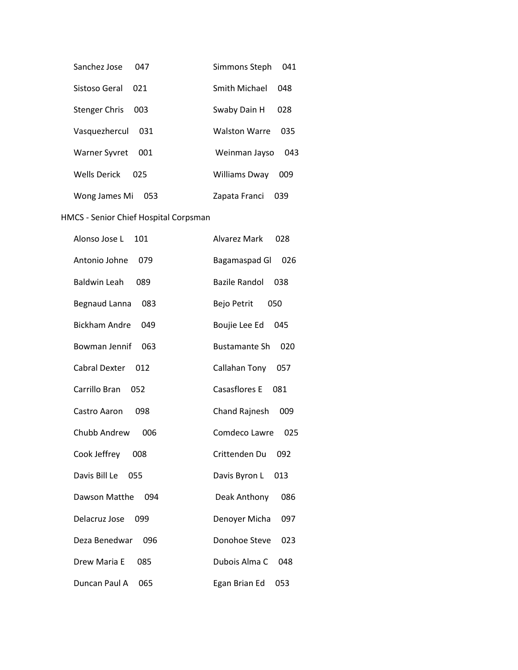| Sanchez Jose<br>047         | Simmons Steph<br>041        |  |
|-----------------------------|-----------------------------|--|
| Sistoso Geral<br>021        | Smith Michael<br>048        |  |
| <b>Stenger Chris</b><br>003 | Swaby Dain H<br>028         |  |
| Vasquezhercul<br>031        | <b>Walston Warre</b><br>035 |  |
| Warner Syvret<br>001        | Weinman Jayso<br>043        |  |
| Wells Derick<br>025         | Williams Dway<br>009        |  |
| Wong James Mi<br>053        | Zapata Franci<br>039        |  |

# HMCS - Senior Chief Hospital Corpsman

| Alonso Jose L<br>101        | <b>Alvarez Mark</b><br>028  |
|-----------------------------|-----------------------------|
| Antonio Johne<br>079        | Bagamaspad Gl<br>026        |
| <b>Baldwin Leah</b><br>089  | <b>Bazile Randol</b><br>038 |
| <b>Begnaud Lanna</b><br>083 | Bejo Petrit<br>050          |
| <b>Bickham Andre</b><br>049 | Boujie Lee Ed<br>045        |
| Bowman Jennif<br>063        | <b>Bustamante Sh</b><br>020 |
| Cabral Dexter<br>012        | Callahan Tony<br>057        |
| Carrillo Bran<br>052        | Casasflores E<br>081        |
| 098<br>Castro Aaron         | <b>Chand Rajnesh</b><br>009 |
| Chubb Andrew<br>006         | Comdeco Lawre<br>025        |
| Cook Jeffrey<br>008         | Crittenden Du<br>092        |
| Davis Bill Le<br>055        | Davis Byron L<br>013        |
| Dawson Matthe<br>094        | Deak Anthony<br>086         |
| Delacruz Jose<br>099        | Denoyer Micha<br>097        |
| Deza Benedwar<br>096        | Donohoe Steve<br>023        |
| Drew Maria E<br>085         | Dubois Alma C<br>048        |
| 065<br>Duncan Paul A        | Egan Brian Ed<br>053        |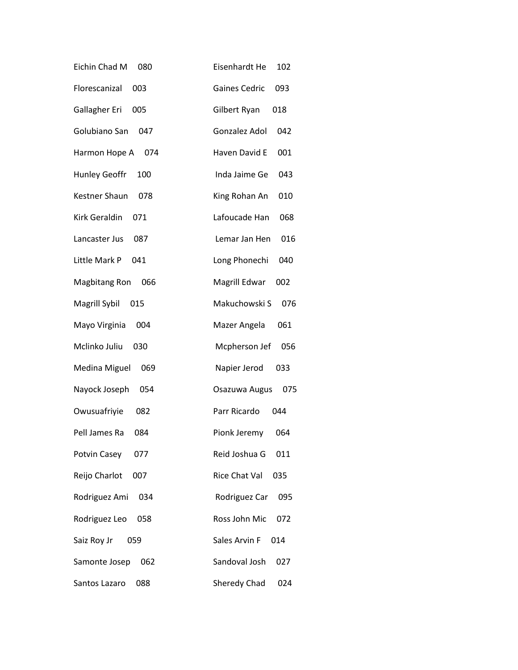| Eichin Chad M<br>080 | Eisenhardt He<br>102        |
|----------------------|-----------------------------|
| Florescanizal<br>003 | <b>Gaines Cedric</b><br>093 |
| Gallagher Eri<br>005 | Gilbert Ryan<br>018         |
| Golubiano San<br>047 | Gonzalez Adol<br>042        |
| Harmon Hope A<br>074 | Haven David E<br>001        |
| Hunley Geoffr<br>100 | Inda Jaime Ge<br>043        |
| Kestner Shaun<br>078 | King Rohan An<br>010        |
| Kirk Geraldin<br>071 | Lafoucade Han<br>068        |
| 087<br>Lancaster Jus | Lemar Jan Hen<br>016        |
| Little Mark P<br>041 | Long Phonechi<br>040        |
| Magbitang Ron<br>066 | Magrill Edwar<br>002        |
| Magrill Sybil<br>015 | Makuchowski S<br>076        |
| Mayo Virginia<br>004 | Mazer Angela<br>061         |
| Mclinko Juliu<br>030 | Mcpherson Jef<br>056        |
| Medina Miguel<br>069 | Napier Jerod<br>033         |
| Nayock Joseph<br>054 | 075<br>Osazuwa Augus        |
| Owusuafriyie<br>082  | Parr Ricardo<br>044         |
| Pell James Ra<br>084 | Pionk Jeremy<br>064         |
| Potvin Casey<br>077  | Reid Joshua G<br>011        |
| Reijo Charlot<br>007 | Rice Chat Val<br>035        |
| Rodriguez Ami<br>034 | Rodriguez Car<br>095        |
| Rodriguez Leo<br>058 | Ross John Mic<br>072        |
| Saiz Roy Jr<br>059   | Sales Arvin F<br>014        |
| Samonte Josep<br>062 | Sandoval Josh<br>027        |
| Santos Lazaro<br>088 | Sheredy Chad<br>024         |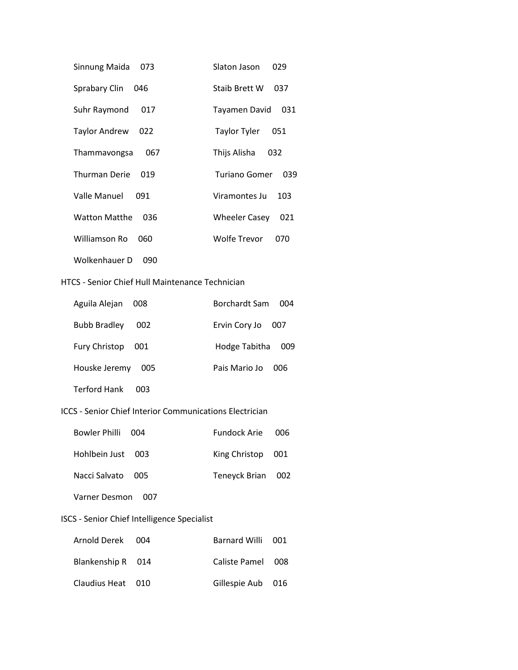| Sinnung Maida<br>073        | Slaton Jason<br>029         |
|-----------------------------|-----------------------------|
| Sprabary Clin<br>046        | Staib Brett W<br>037        |
| Suhr Raymond<br>017         | Tayamen David<br>031        |
| Taylor Andrew<br>022        | Taylor Tyler<br>051         |
| Thammavongsa<br>067         | Thijs Alisha<br>032         |
| Thurman Derie<br>019        | Turiano Gomer<br>039        |
| Valle Manuel<br>091         | Viramontes Ju<br>103        |
| <b>Watton Matthe</b><br>036 | <b>Wheeler Casey</b><br>021 |
| Williamson Ro<br>060        | Wolfe Trevor<br>070         |
| Wolkenhauer D<br>090        |                             |

#### HTCS - Senior Chief Hull Maintenance Technician

| Aguila Alejan              | Borchardt Sam |
|----------------------------|---------------|
| 008                        | 004           |
| <b>Bubb Bradley</b>        | Ervin Cory Jo |
| 002                        | 007           |
| Fury Christop              | Hodge Tabitha |
| 001                        | 009           |
| Houske Jeremy              | Pais Mario Jo |
| 005                        | 006           |
| <b>Terford Hank</b><br>003 |               |

### ICCS - Senior Chief Interior Communications Electrician

| Bowler Philli 004 | Fundock Arie 006  |  |
|-------------------|-------------------|--|
| Hohlbein Just 003 | King Christop 001 |  |
| Nacci Salvato 005 | Teneyck Brian 002 |  |

# Varner Desmon 007

# ISCS - Senior Chief Intelligence Specialist

| Arnold Derek 004  | Barnard Willi 001 |  |
|-------------------|-------------------|--|
| Blankenship R 014 | Caliste Pamel 008 |  |
| Claudius Heat 010 | Gillespie Aub 016 |  |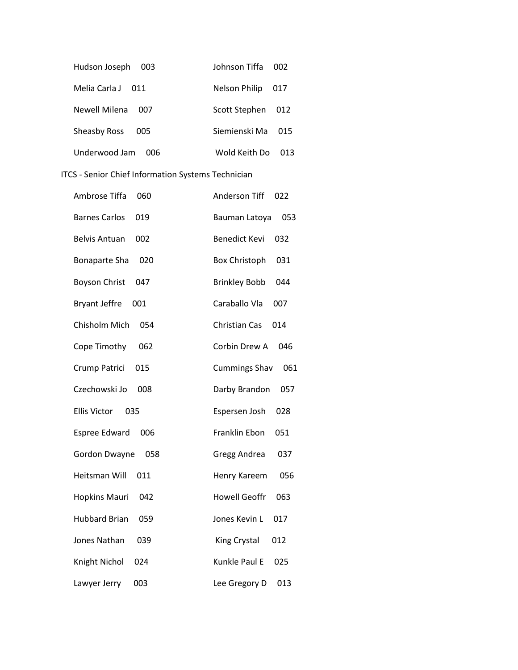| Hudson Joseph<br>003       | Johnson Tiffa        | 002 |
|----------------------------|----------------------|-----|
| Melia Carla J<br>-011      | <b>Nelson Philip</b> | 017 |
| Newell Milena<br>007       | Scott Stephen        | 012 |
| <b>Sheasby Ross</b><br>005 | Siemienski Ma        | 015 |
| Underwood Jam<br>nng       | Wold Keith Do        | ก13 |

# ITCS - Senior Chief Information Systems Technician

| Ambrose Tiffa        | <b>Anderson Tiff</b> |
|----------------------|----------------------|
| 060                  | 022                  |
| <b>Barnes Carlos</b> | 053                  |
| 019                  | Bauman Latoya        |
| <b>Belvis Antuan</b> | <b>Benedict Kevi</b> |
| 002                  | 032                  |
| Bonaparte Sha        | <b>Box Christoph</b> |
| 020                  | 031                  |
| <b>Boyson Christ</b> | <b>Brinkley Bobb</b> |
| 047                  | 044                  |
| <b>Bryant Jeffre</b> | Caraballo Vla        |
| 001                  | 007                  |
| Chisholm Mich        | Christian Cas        |
| 054                  | 014                  |
| 062                  | Corbin Drew A        |
| Cope Timothy         | 046                  |
| 015                  | <b>Cummings Shav</b> |
| Crump Patrici        | 061                  |
| Czechowski Jo        | 057                  |
| 008                  | Darby Brandon        |
| <b>Ellis Victor</b>  | 028                  |
| 035                  | Espersen Josh        |
| 006                  | Franklin Ebon        |
| Espree Edward        | 051                  |
| Gordon Dwayne        | Gregg Andrea         |
| 058                  | 037                  |
| Heitsman Will        | Henry Kareem         |
| 011                  | 056                  |
| 042                  | <b>Howell Geoffr</b> |
| <b>Hopkins Mauri</b> | 063                  |
| <b>Hubbard Brian</b> | Jones Kevin L        |
| 059                  | 017                  |
| Jones Nathan         | 012                  |
| 039                  | King Crystal         |
| Knight Nichol        | Kunkle Paul E        |
| 024                  | 025                  |
| 003                  | Lee Gregory D        |
| Lawyer Jerry         | 013                  |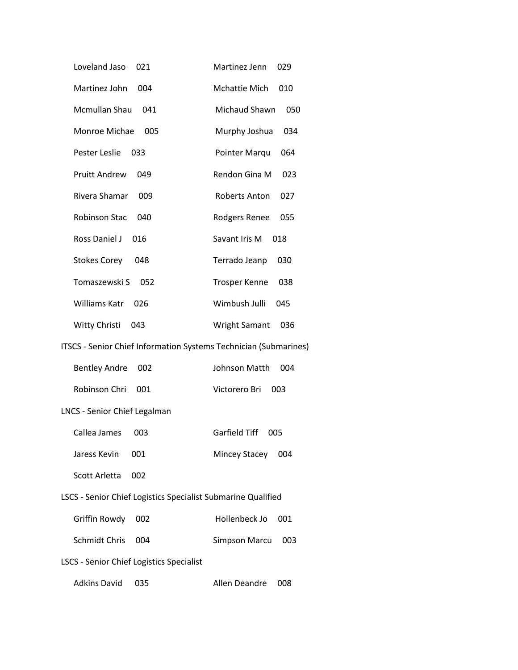| Loveland Jaso                                                    | Martinez Jenn               |  |  |
|------------------------------------------------------------------|-----------------------------|--|--|
| 021                                                              | 029                         |  |  |
| Martinez John                                                    | Mchattie Mich               |  |  |
| 004                                                              | 010                         |  |  |
| Mcmullan Shau                                                    | Michaud Shawn               |  |  |
| 041                                                              | 050                         |  |  |
| Monroe Michae                                                    | Murphy Joshua               |  |  |
| 005                                                              | 034                         |  |  |
| Pester Leslie                                                    | Pointer Marqu               |  |  |
| 033                                                              | 064                         |  |  |
| <b>Pruitt Andrew</b>                                             | Rendon Gina M               |  |  |
| 049                                                              | 023                         |  |  |
| Rivera Shamar                                                    | Roberts Anton               |  |  |
| 009                                                              | 027                         |  |  |
| <b>Robinson Stac</b>                                             | Rodgers Renee               |  |  |
| 040                                                              | 055                         |  |  |
| Ross Daniel J                                                    | Savant Iris M               |  |  |
| 016                                                              | 018                         |  |  |
| <b>Stokes Corey</b>                                              | Terrado Jeanp               |  |  |
| 048                                                              | 030                         |  |  |
| Tomaszewski S 052                                                | <b>Trosper Kenne</b><br>038 |  |  |
| Williams Katr                                                    | Wimbush Julli               |  |  |
| 026                                                              | 045                         |  |  |
| Witty Christi                                                    | <b>Wright Samant</b>        |  |  |
| 043                                                              | 036                         |  |  |
| ITSCS - Senior Chief Information Systems Technician (Submarines) |                             |  |  |
| <b>Bentley Andre</b>                                             | Johnson Matth               |  |  |
| 002                                                              | 004                         |  |  |
| Robinson Chri                                                    | Victorero Bri               |  |  |
| 001                                                              | 003                         |  |  |
| LNCS - Senior Chief Legalman                                     |                             |  |  |
| Callea James 003                                                 | Garfield Tiff 005           |  |  |
| Jaress Kevin                                                     | Mincey Stacey               |  |  |
| 001                                                              | 004                         |  |  |
| Scott Arletta<br>002                                             |                             |  |  |
| LSCS - Senior Chief Logistics Specialist Submarine Qualified     |                             |  |  |
| Griffin Rowdy                                                    | Hollenbeck Jo               |  |  |
| 002                                                              | 001                         |  |  |
| Schmidt Chris                                                    | <b>Simpson Marcu</b>        |  |  |
| 004                                                              | 003                         |  |  |
| <b>LSCS - Senior Chief Logistics Specialist</b>                  |                             |  |  |
| <b>Adkins David</b>                                              | Allen Deandre               |  |  |
| 035                                                              | 008                         |  |  |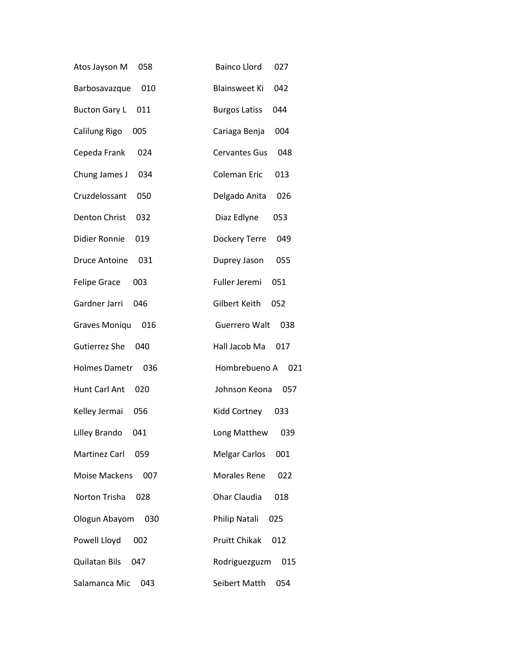| Atos Jayson M        | <b>Bainco Llord</b>  |
|----------------------|----------------------|
| 058                  | 027                  |
| Barbosavazque        | <b>Blainsweet Ki</b> |
| 010                  | 042                  |
| <b>Bucton Gary L</b> | <b>Burgos Latiss</b> |
| 011                  | 044                  |
| Calilung Rigo        | Cariaga Benja        |
| 005                  | 004                  |
| Cepeda Frank         | <b>Cervantes Gus</b> |
| 024                  | 048                  |
| Chung James J        | <b>Coleman Eric</b>  |
| 034                  | 013                  |
| Cruzdelossant        | Delgado Anita        |
| 050                  | 026                  |
| <b>Denton Christ</b> | Diaz Edlyne          |
| 032                  | 053                  |
| Didier Ronnie        | Dockery Terre        |
| 019                  | 049                  |
| <b>Druce Antoine</b> | 055                  |
| 031                  | Duprey Jason         |
| <b>Felipe Grace</b>  | Fuller Jeremi        |
| 003                  | 051                  |
| Gardner Jarri        | Gilbert Keith        |
| 046                  | 052                  |
| <b>Graves Moniqu</b> | <b>Guerrero Walt</b> |
| 016                  | 038                  |
| Gutierrez She        | Hall Jacob Ma        |
| 040                  | 017                  |
| Holmes Dametr        | Hombrebueno A        |
| 036                  | 021                  |
| Hunt Carl Ant        | Johnson Keona        |
| 020                  | 057                  |
| Kelley Jermai        | Kidd Cortney         |
| 056                  | 033                  |
| Lilley Brando        | Long Matthew         |
| 041                  | 039                  |
| Martinez Carl        | <b>Melgar Carlos</b> |
| 059                  | 001                  |
| Moise Mackens        | <b>Morales Rene</b>  |
| 007                  | 022                  |
| Norton Trisha        | Ohar Claudia         |
| 028                  | 018                  |
| Ologun Abayom        | Philip Natali        |
| 030                  | 025                  |
| Powell Lloyd         | <b>Pruitt Chikak</b> |
| 002                  | 012                  |
| Quilatan Bils        | Rodriguezguzm        |
| 047                  | 015                  |
| Salamanca Mic        | Seibert Matth        |
| 043                  | 054                  |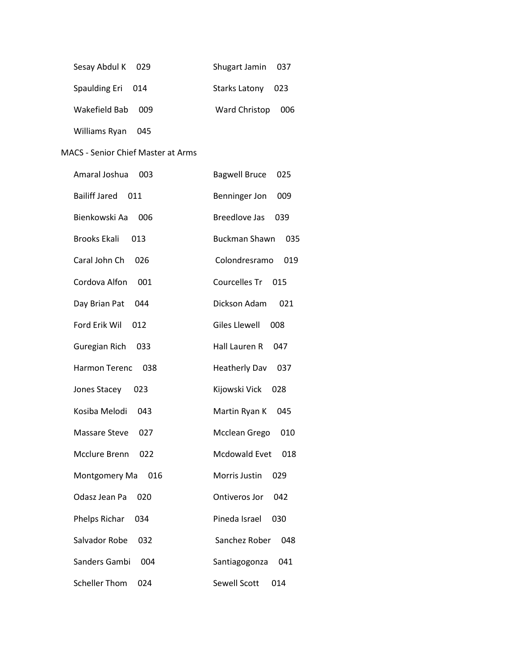| Sesay Abdul K 029      | Shugart Jamin 037    |
|------------------------|----------------------|
| Spaulding Eri 014      | Starks Latony 023    |
| Wakefield Bab 009      | Ward Christop<br>006 |
| Williams Ryan<br>- 045 |                      |

#### MACS - Senior Chief Master at Arms

| Amaral Joshua        | 003                  | <b>Bagwell Bruce</b><br>025 |
|----------------------|----------------------|-----------------------------|
| <b>Bailiff Jared</b> | 011                  | Benninger Jon<br>009        |
| Bienkowski Aa        | 006                  | <b>Breedlove Jas</b><br>039 |
| <b>Brooks Ekali</b>  | 013                  | <b>Buckman Shawn</b><br>035 |
| Caral John Ch        | 026                  | Colondresramo<br>019        |
| Cordova Alfon        | 001                  | Courcelles Tr<br>015        |
| Day Brian Pat        | 044                  | Dickson Adam<br>021         |
| Ford Erik Wil        | 012                  | <b>Giles Llewell</b><br>008 |
| Guregian Rich        | 033                  | Hall Lauren R<br>047        |
| <b>Harmon Terenc</b> | 038                  | <b>Heatherly Dav</b><br>037 |
| Jones Stacey         | 023                  | Kijowski Vick<br>028        |
| Kosiba Melodi        | 043                  | Martin Ryan K<br>045        |
| <b>Massare Steve</b> | 027                  | Mcclean Grego<br>010        |
| Mcclure Brenn        | 022                  | Mcdowald Evet<br>018        |
|                      | Montgomery Ma<br>016 | Morris Justin<br>029        |
| Odasz Jean Pa        | 020                  | Ontiveros Jor<br>042        |
| Phelps Richar        | 034                  | Pineda Israel<br>030        |
| Salvador Robe        | 032                  | Sanchez Rober<br>048        |
| Sanders Gambi        | 004                  | Santiagogonza<br>041        |
| <b>Scheller Thom</b> | 024                  | <b>Sewell Scott</b><br>014  |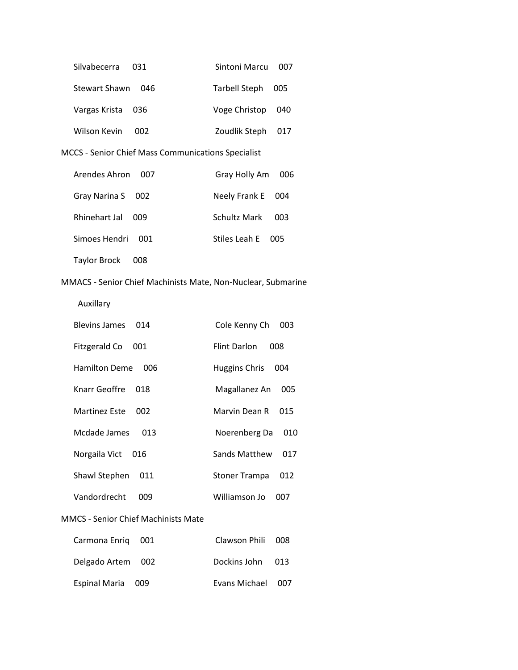| Silvabecerra<br>- 031 | Sintoni Marcu<br>007 |
|-----------------------|----------------------|
| Stewart Shawn<br>046  | Tarbell Steph<br>005 |
| Vargas Krista<br>036  | Voge Christop<br>040 |
| Wilson Kevin<br>002   | Zoudlik Steph<br>017 |
|                       |                      |

MCCS - Senior Chief Mass Communications Specialist

| Arendes Ahron<br>007 | Gray Holly Am     | 006 |
|----------------------|-------------------|-----|
| Gray Narina S 002    | Neely Frank E 004 |     |
| Rhinehart Jal<br>009 | Schultz Mark      | 003 |
| Simoes Hendri 001    | Stiles Leah E 005 |     |
| Taylor Brock<br>008  |                   |     |

# MMACS - Senior Chief Machinists Mate, Non-Nuclear, Submarine

Auxillary

| <b>Blevins James</b><br>014 | Cole Kenny Ch<br>003        |
|-----------------------------|-----------------------------|
| Fitzgerald Co<br>001        | Flint Darlon<br>008         |
| <b>Hamilton Deme</b><br>006 | Huggins Chris<br>004        |
| Knarr Geoffre<br>018        | Magallanez An<br>005        |
| Martinez Este<br>002        | Marvin Dean R<br>015        |
| Mcdade James<br>በ13         | Noerenberg Da<br>010        |
| Norgaila Vict<br>016        | Sands Matthew<br>017        |
| Shawl Stephen<br>011        | <b>Stoner Trampa</b><br>012 |
| Vandordrecht<br>009         | Williamson Jo<br>007        |

# MMCS - Senior Chief Machinists Mate

| Carmona Enriq 001 | Clawson Phili 008 |  |
|-------------------|-------------------|--|
| Delgado Artem 002 | Dockins John 013  |  |
| Espinal Maria 009 | Evans Michael 007 |  |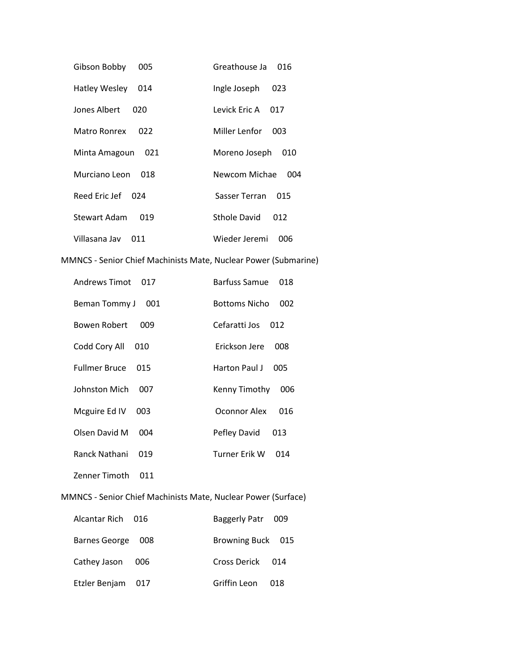| Gibson Bobby                                                    | Greathouse Ja               |
|-----------------------------------------------------------------|-----------------------------|
| 005                                                             | 016                         |
| Hatley Wesley                                                   | Ingle Joseph                |
| 014                                                             | 023                         |
| Jones Albert                                                    | Levick Eric A               |
| 020                                                             | 017                         |
| Matro Ronrex                                                    | Miller Lenfor               |
| 022                                                             | 003                         |
| Minta Amagoun                                                   | Moreno Joseph               |
| 021                                                             | 010                         |
| Murciano Leon                                                   | Newcom Michae               |
| 018                                                             | 004                         |
| Reed Eric Jef                                                   | Sasser Terran               |
| 024                                                             | 015                         |
| <b>Stewart Adam</b>                                             | <b>Sthole David</b>         |
| 019                                                             | 012                         |
| Villasana Jav                                                   | Wieder Jeremi               |
| 011                                                             | 006                         |
| MMNCS - Senior Chief Machinists Mate, Nuclear Power (Submarine) |                             |
| <b>Andrews Timot</b>                                            | <b>Barfuss Samue</b>        |
| 017                                                             | 018                         |
| Beman Tommy J 001                                               | <b>Bottoms Nicho</b><br>002 |
| <b>Bowen Robert</b>                                             | Cefaratti Jos               |
| 009                                                             | 012                         |
| Codd Cory All                                                   | Erickson Jere               |
| 010                                                             | 008                         |
| <b>Fullmer Bruce</b>                                            | Harton Paul J               |
| 015                                                             | 005                         |
| Johnston Mich                                                   | Kenny Timothy               |
| 007                                                             | 006                         |
| Mcguire Ed IV                                                   | Oconnor Alex                |
| 003                                                             | 016                         |
| Olsen David M 004                                               | Pefley David 013            |
| Ranck Nathani                                                   | Turner Erik W               |
| 019                                                             | 014                         |
| Zenner Timoth<br>011                                            |                             |
| MMNCS - Senior Chief Machinists Mate, Nuclear Power (Surface)   |                             |
| <b>Alcantar Rich</b>                                            | <b>Baggerly Patr</b>        |
| 016                                                             | 009                         |
| <b>Barnes George</b><br>008                                     | Browning Buck 015           |
| Cathey Jason                                                    | <b>Cross Derick</b>         |
| 006                                                             | 014                         |
| Etzler Benjam                                                   | Griffin Leon                |
| 017                                                             | 018                         |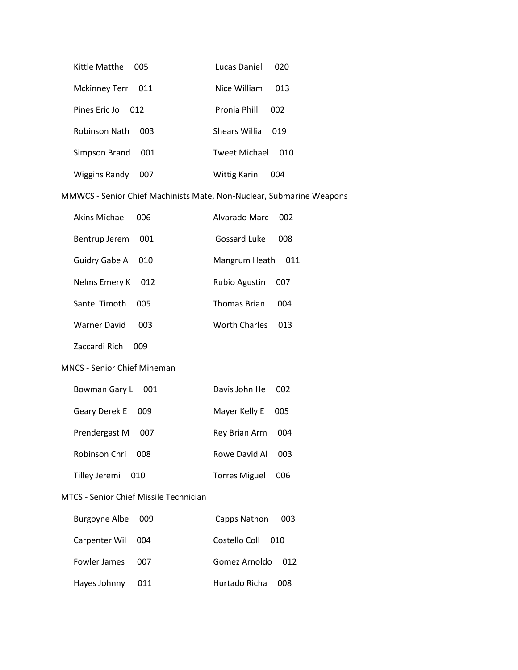| Kittle Matthe<br>005               | Lucas Daniel<br>020         |
|------------------------------------|-----------------------------|
| <b>Mckinney Terr</b><br>- 011      | Nice William<br>013         |
| Pines Fric Jo<br>012               | Pronia Philli<br>002        |
| <b>Robinson Nath</b><br><b>DU3</b> | Shears Willia<br>019        |
| Simpson Brand<br>001               | <b>Tweet Michael</b><br>010 |
| <b>Wiggins Randy</b><br>007        | Wittig Karin<br>004         |

MMWCS - Senior Chief Machinists Mate, Non-Nuclear, Submarine Weapons

| Akins Michael | 006 | Alvarado Marc 002   |     |
|---------------|-----|---------------------|-----|
| Bentrup Jerem | 001 | Gossard Luke        | 008 |
| Guidry Gabe A | 010 | Mangrum Heath       | 011 |
| Nelms Emery K | 012 | Rubio Agustin       | 007 |
| Santel Timoth | 005 | <b>Thomas Brian</b> | 004 |
| Warner David  | 003 | Worth Charles       | ก13 |

Zaccardi Rich 009

MNCS - Senior Chief Mineman

| Bowman Gary L 001      | Davis John He 002    |     |
|------------------------|----------------------|-----|
| Geary Derek E 009      | Mayer Kelly E        | 005 |
| Prendergast M<br>- 007 | Rey Brian Arm        | 004 |
| Robinson Chri<br>- 008 | Rowe David Al        | 003 |
| Tilley Jeremi 010      | <b>Torres Miguel</b> | 006 |

#### MTCS - Senior Chief Missile Technician

| Burgoyne Albe 009 |       | Capps Nathon 003  |
|-------------------|-------|-------------------|
| Carpenter Wil 004 |       | Costello Coll 010 |
| Fowler James      | 007   | Gomez Arnoldo 012 |
| Hayes Johnny      | - 011 | Hurtado Richa 008 |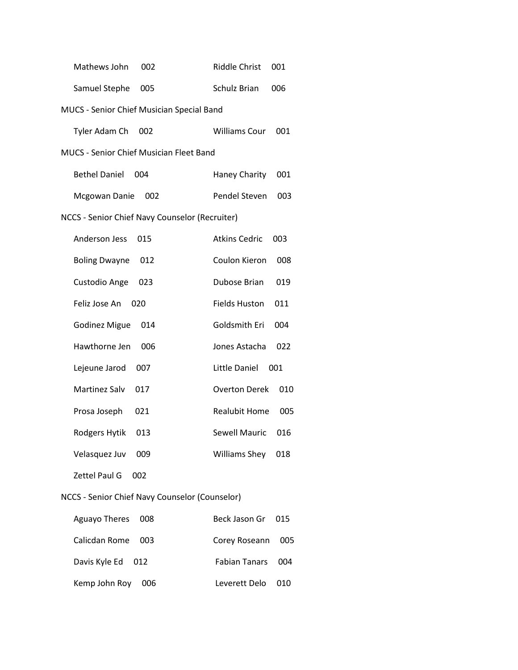| Mathews John                                   | <b>Riddle Christ</b> |
|------------------------------------------------|----------------------|
| 002                                            | 001                  |
| Samuel Stephe                                  | <b>Schulz Brian</b>  |
| 005                                            | 006                  |
| MUCS - Senior Chief Musician Special Band      |                      |
| Tyler Adam Ch                                  | <b>Williams Cour</b> |
| 002                                            | 001                  |
| <b>MUCS - Senior Chief Musician Fleet Band</b> |                      |
| <b>Bethel Daniel</b>                           | Haney Charity        |
| 004                                            | 001                  |
| Mcgowan Danie                                  | Pendel Steven        |
| 002                                            | 003                  |
| NCCS - Senior Chief Navy Counselor (Recruiter) |                      |
| Anderson Jess                                  | <b>Atkins Cedric</b> |
| 015                                            | 003                  |
| <b>Boling Dwayne</b>                           | Coulon Kieron        |
| 012                                            | 008                  |
| Custodio Ange                                  | Dubose Brian         |
| 023                                            | 019                  |
| Feliz Jose An                                  | <b>Fields Huston</b> |
| 020                                            | 011                  |
| <b>Godinez Migue</b>                           | Goldsmith Eri        |
| 014                                            | 004                  |
| Hawthorne Jen                                  | Jones Astacha        |
| 006                                            | 022                  |
| Lejeune Jarod                                  | Little Daniel        |
| 007                                            | 001                  |
| Martinez Salv                                  | 010                  |
| 017                                            | <b>Overton Derek</b> |
| Prosa Joseph                                   | <b>Realubit Home</b> |
| 021                                            | 005                  |
| Rodgers Hytik                                  | Sewell Mauric        |
| 013                                            | 016                  |
| Velasquez Juv                                  | Williams Shey        |
| 009                                            | 018                  |
| <b>Zettel Paul G</b><br>002                    |                      |
| NCCS - Senior Chief Navy Counselor (Counselor) |                      |
| Aguayo Theres                                  | Beck Jason Gr        |
| 008                                            | 015                  |

| Aguayo Theres 008      | Beck Jason Gr 015 |  |
|------------------------|-------------------|--|
| Calicdan Rome 003      | Corey Roseann 005 |  |
| Davis Kyle Ed 012      | Fabian Tanars 004 |  |
| Kemp John Roy<br>- 006 | Leverett Delo 010 |  |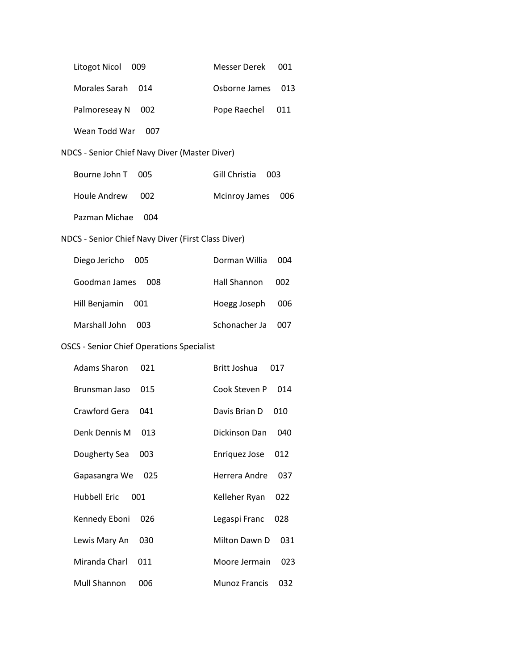| Litogot Nicol                                      | Messer Derek         |
|----------------------------------------------------|----------------------|
| 009                                                | 001                  |
| Morales Sarah                                      | Osborne James        |
| 014                                                | 013                  |
| Palmoreseay N                                      | Pope Raechel         |
| 002                                                | 011                  |
| Wean Todd War<br>007                               |                      |
| NDCS - Senior Chief Navy Diver (Master Diver)      |                      |
| Bourne John T                                      | Gill Christia        |
| 005                                                | 003                  |
| <b>Houle Andrew</b>                                | <b>Mcinroy James</b> |
| 002                                                | 006                  |
| Pazman Michae<br>004                               |                      |
| NDCS - Senior Chief Navy Diver (First Class Diver) |                      |
| Diego Jericho                                      | Dorman Willia        |
| 005                                                | 004                  |
| Goodman James                                      | Hall Shannon         |
| 008                                                | 002                  |
| Hill Benjamin                                      | Hoegg Joseph         |
| 001                                                | 006                  |
| Marshall John                                      | Schonacher Ja        |
| 003                                                | 007                  |
| <b>OSCS - Senior Chief Operations Specialist</b>   |                      |
| <b>Adams Sharon</b>                                | Britt Joshua         |
| 021                                                | 017                  |
| 015                                                | Cook Steven P        |
| Brunsman Jaso                                      | 014                  |
| Crawford Gera                                      | Davis Brian D        |
| 041                                                | 010                  |
| Denk Dennis M                                      | Dickinson Dan        |
| 013                                                | 040                  |
| Dougherty Sea                                      | <b>Enriquez Jose</b> |
| 003                                                | 012                  |
| Gapasangra We                                      | Herrera Andre        |
| 025                                                | 037                  |
| <b>Hubbell Eric</b>                                | Kelleher Ryan        |
| 001                                                | 022                  |
| Kennedy Eboni                                      | Legaspi Franc        |
| 026                                                | 028                  |
| Lewis Mary An                                      | Milton Dawn D        |
| 030                                                | 031                  |
| Miranda Charl                                      | Moore Jermain        |
| 011                                                | 023                  |
| <b>Mull Shannon</b>                                | <b>Munoz Francis</b> |
| 006                                                | 032                  |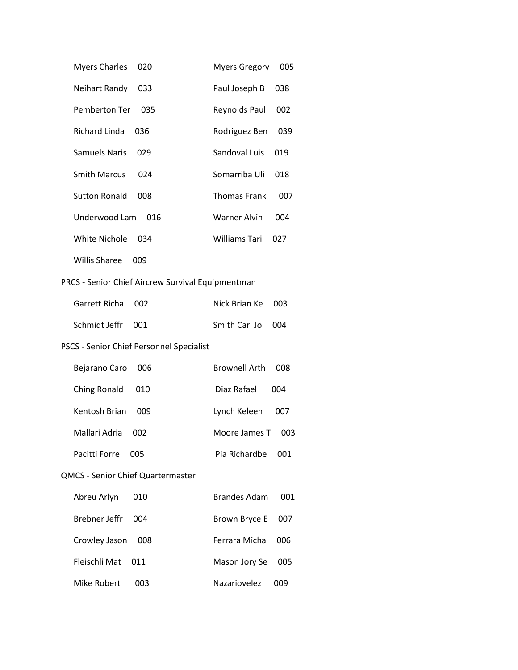| <b>Myers Charles</b>                              | <b>Myers Gregory</b> |
|---------------------------------------------------|----------------------|
| 020                                               | 005                  |
| Neihart Randy                                     | Paul Joseph B        |
| 033                                               | 038                  |
| Pemberton Ter                                     | Reynolds Paul        |
| 035                                               | 002                  |
| <b>Richard Linda</b>                              | Rodriguez Ben        |
| 036                                               | 039                  |
| <b>Samuels Naris</b>                              | Sandoval Luis        |
| 029                                               | 019                  |
| <b>Smith Marcus</b>                               | Somarriba Uli        |
| 024                                               | 018                  |
| <b>Sutton Ronald</b>                              | <b>Thomas Frank</b>  |
| 008                                               | 007                  |
| Underwood Lam                                     | <b>Warner Alvin</b>  |
| 016                                               | 004                  |
| <b>White Nichole</b>                              | <b>Williams Tari</b> |
| 034                                               | 027                  |
| <b>Willis Sharee</b><br>009                       |                      |
| PRCS - Senior Chief Aircrew Survival Equipmentman |                      |
| Garrett Richa                                     | Nick Brian Ke        |
| 002                                               | 003                  |
| Schmidt Jeffr                                     | Smith Carl Jo        |
| 001                                               | 004                  |
| PSCS - Senior Chief Personnel Specialist          |                      |
| Bejarano Caro                                     | <b>Brownell Arth</b> |
| 006                                               | 008                  |
| Ching Ronald                                      | Diaz Rafael          |
| 010                                               | 004                  |
| Kentosh Brian                                     | Lynch Keleen         |
| 009                                               | 007                  |
| Mallari Adria                                     | Moore James T        |
| 002                                               | 003                  |
| Pacitti Forre                                     | Pia Richardbe        |
| 005                                               | 001                  |
| <b>QMCS - Senior Chief Quartermaster</b>          |                      |
| Abreu Arlyn                                       | <b>Brandes Adam</b>  |
| 010                                               | 001                  |
| Brebner Jeffr                                     | Brown Bryce E        |
| 004                                               | 007                  |
| Crowley Jason                                     | Ferrara Micha        |
| 008                                               | 006                  |
| Fleischli Mat                                     | Mason Jory Se        |
| 011                                               | 005                  |
| Mike Robert                                       | Nazariovelez         |
| 003                                               | 009                  |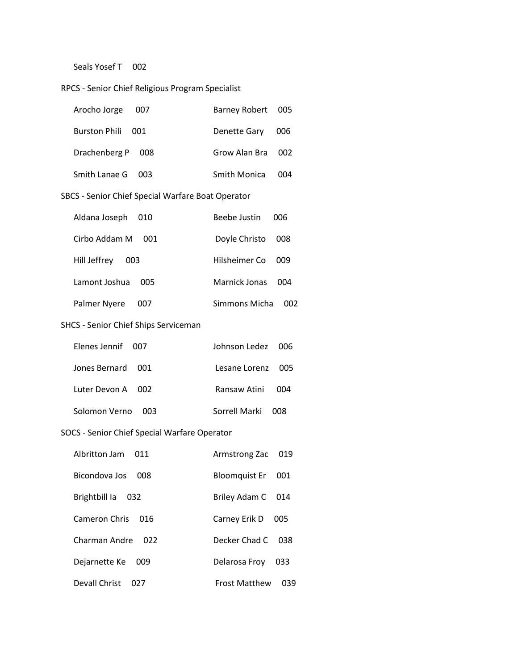Seals Yosef T 002

### RPCS - Senior Chief Religious Program Specialist

| Arocho Jorge 007  | Barney Robert 005 |       |
|-------------------|-------------------|-------|
| Burston Phili 001 | Denette Gary      | - 006 |
| Drachenberg P 008 | Grow Alan Bra 002 |       |
| Smith Lanae G 003 | Smith Monica      | OO4   |

### SBCS - Senior Chief Special Warfare Boat Operator

| Aldana Joseph<br>010 | Beebe Justin  | ററഞ |
|----------------------|---------------|-----|
| Cirbo Addam M<br>001 | Doyle Christo | 008 |
| Hill Jeffrey<br>003  | Hilsheimer Co | 009 |
| Lamont Joshua<br>005 | Marnick Jonas | 004 |
| Palmer Nyere<br>007  | Simmons Micha | നാ  |

### SHCS - Senior Chief Ships Serviceman

| Flenes Jennif 007 | Johnson Ledez 006 |        |
|-------------------|-------------------|--------|
| Jones Bernard 001 | Lesane Lorenz 005 |        |
| Luter Devon A 002 | Ransaw Atini      | (1)(1) |
| Solomon Verno 003 | Sorrell Marki     | nnx    |

# SOCS - Senior Chief Special Warfare Operator

| Albritton Jam<br>011 | Armstrong Zac        | 019 |
|----------------------|----------------------|-----|
| Bicondova Jos<br>008 | Bloomquist Er        | 001 |
| Brightbill la<br>032 | Briley Adam C        | 014 |
| Cameron Chris<br>016 | Carney Erik D        | 005 |
| Charman Andre<br>022 | Decker Chad C        | 038 |
| Dejarnette Ke<br>009 | Delarosa Frov        | 033 |
| Devall Christ<br>027 | <b>Frost Matthew</b> | 039 |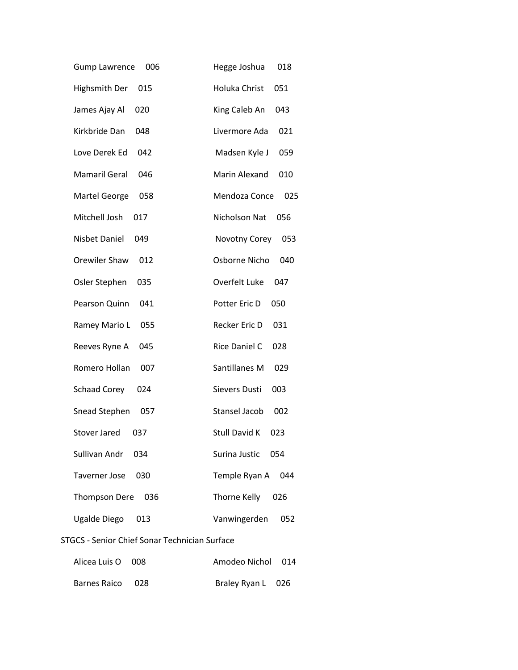| <b>Gump Lawrence</b><br>006 | Hegge Joshua<br>018         |
|-----------------------------|-----------------------------|
| <b>Highsmith Der</b><br>015 | Holuka Christ<br>051        |
| James Ajay Al<br>020        | King Caleb An<br>043        |
| Kirkbride Dan<br>048        | Livermore Ada<br>021        |
| Love Derek Ed<br>042        | Madsen Kyle J<br>059        |
| <b>Mamaril Geral</b><br>046 | <b>Marin Alexand</b><br>010 |
| <b>Martel George</b><br>058 | Mendoza Conce<br>025        |
| Mitchell Josh<br>017        | Nicholson Nat<br>056        |
| <b>Nisbet Daniel</b><br>049 | Novotny Corey<br>053        |
| Orewiler Shaw<br>012        | Osborne Nicho<br>040        |
| Osler Stephen<br>035        | Overfelt Luke<br>047        |
| Pearson Quinn<br>041        | Potter Eric D<br>050        |
| Ramey Mario L<br>055        | Recker Eric D<br>031        |
| Reeves Ryne A<br>045        | Rice Daniel C<br>028        |
| Romero Hollan<br>007        | Santillanes M<br>029        |
| <b>Schaad Corey</b><br>024  | Sievers Dusti<br>003        |
| Snead Stephen<br>057        | <b>Stansel Jacob</b><br>002 |
| <b>Stover Jared</b><br>037  | <b>Stull David K</b><br>023 |
| Sullivan Andr<br>034        | Surina Justic<br>054        |
| Taverner Jose<br>030        | Temple Ryan A<br>044        |
| Thompson Dere<br>036        | Thorne Kelly<br>026         |
| Ugalde Diego<br>013         | Vanwingerden<br>052         |
|                             |                             |

### STGCS - Senior Chief Sonar Technician Surface

| Alicea Luis O 008 | Amodeo Nichol 014 |  |
|-------------------|-------------------|--|
| Barnes Raico 028  | Braley Ryan L 026 |  |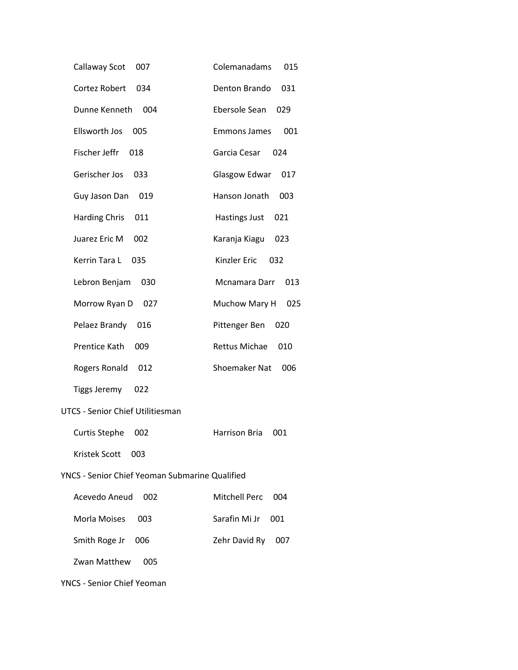| Callaway Scot                                         | Colemanadams         |
|-------------------------------------------------------|----------------------|
| 007                                                   | 015                  |
| Cortez Robert                                         | Denton Brando        |
| 034                                                   | 031                  |
| Dunne Kenneth                                         | Ebersole Sean        |
| 004                                                   | 029                  |
| Ellsworth Jos                                         | <b>Emmons James</b>  |
| 005                                                   | 001                  |
| Fischer Jeffr                                         | Garcia Cesar         |
| 018                                                   | 024                  |
| Gerischer Jos                                         | Glasgow Edwar        |
| 033                                                   | 017                  |
| Guy Jason Dan                                         | Hanson Jonath        |
| 019                                                   | 003                  |
| Harding Chris                                         | Hastings Just        |
| 011                                                   | 021                  |
| Juarez Eric M                                         | Karanja Kiagu        |
| 002                                                   | 023                  |
| Kerrin Tara L                                         | Kinzler Eric         |
| 035                                                   | 032                  |
| Lebron Benjam                                         | Mcnamara Darr        |
| 030                                                   | 013                  |
| Morrow Ryan D 027                                     | Muchow Mary H<br>025 |
| Pelaez Brandy                                         | Pittenger Ben        |
| 016                                                   | 020                  |
| Prentice Kath                                         | Rettus Michae        |
| 009                                                   | 010                  |
| Rogers Ronald                                         | Shoemaker Nat        |
| 012                                                   | 006                  |
| <b>Tiggs Jeremy</b><br>022                            |                      |
| <b>UTCS - Senior Chief Utilitiesman</b>               |                      |
| <b>Curtis Stephe</b>                                  | Harrison Bria        |
| 002                                                   | 001                  |
| Kristek Scott<br>003                                  |                      |
| <b>YNCS - Senior Chief Yeoman Submarine Qualified</b> |                      |
| Acevedo Aneud                                         | Mitchell Perc        |
| 002                                                   | 004                  |
| Morla Moises                                          | Sarafin Mi Jr        |
| 003                                                   | 001                  |
| Smith Roge Jr                                         | Zehr David Ry        |
| 006                                                   | 007                  |
| Zwan Matthew<br>005                                   |                      |
| <b>YNCS - Senior Chief Yeoman</b>                     |                      |